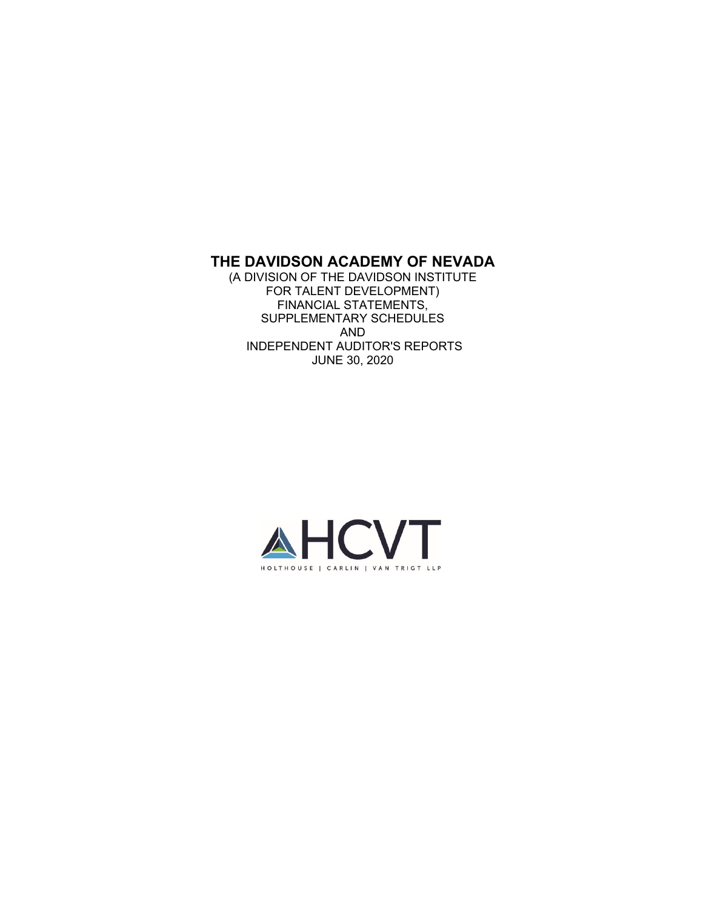(A DIVISION OF THE DAVIDSON INSTITUTE FOR TALENT DEVELOPMENT) FINANCIAL STATEMENTS, SUPPLEMENTARY SCHEDULES AND INDEPENDENT AUDITOR'S REPORTS JUNE 30, 2020

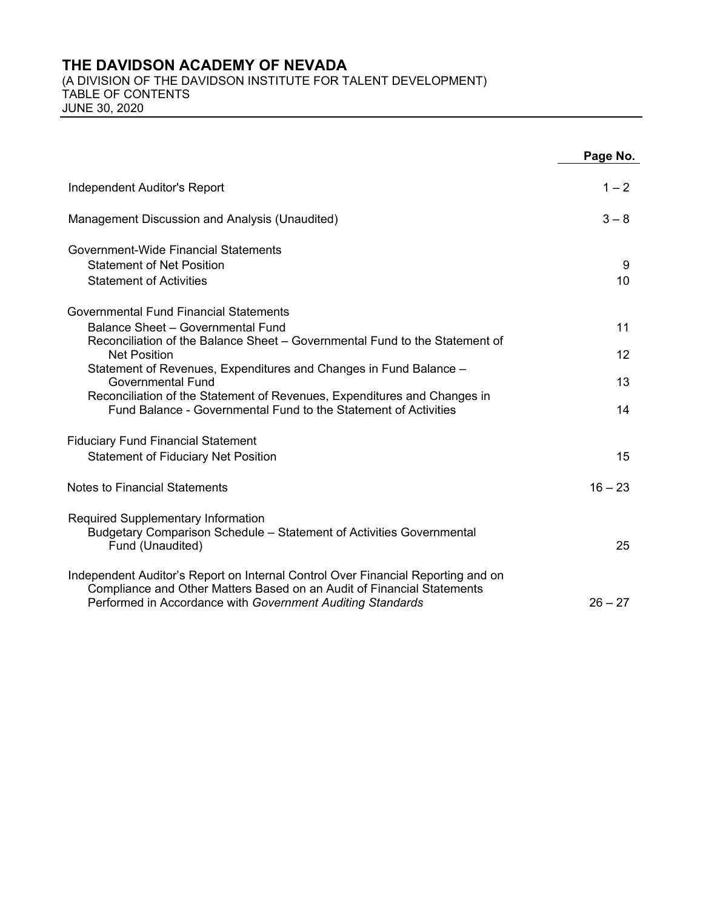(A DIVISION OF THE DAVIDSON INSTITUTE FOR TALENT DEVELOPMENT) TABLE OF CONTENTS

JUNE 30, 2020

|                                                                                                                                                            | Page No.  |
|------------------------------------------------------------------------------------------------------------------------------------------------------------|-----------|
| Independent Auditor's Report                                                                                                                               | $1 - 2$   |
| Management Discussion and Analysis (Unaudited)                                                                                                             | $3 - 8$   |
| Government-Wide Financial Statements                                                                                                                       |           |
| <b>Statement of Net Position</b>                                                                                                                           | 9         |
| <b>Statement of Activities</b>                                                                                                                             | 10        |
| Governmental Fund Financial Statements                                                                                                                     |           |
| <b>Balance Sheet - Governmental Fund</b>                                                                                                                   | 11        |
| Reconciliation of the Balance Sheet – Governmental Fund to the Statement of                                                                                |           |
| <b>Net Position</b>                                                                                                                                        | 12        |
| Statement of Revenues, Expenditures and Changes in Fund Balance -                                                                                          |           |
| <b>Governmental Fund</b>                                                                                                                                   | 13        |
| Reconciliation of the Statement of Revenues, Expenditures and Changes in<br>Fund Balance - Governmental Fund to the Statement of Activities                | 14        |
| <b>Fiduciary Fund Financial Statement</b>                                                                                                                  |           |
| <b>Statement of Fiduciary Net Position</b>                                                                                                                 | 15        |
| <b>Notes to Financial Statements</b>                                                                                                                       | $16 - 23$ |
| <b>Required Supplementary Information</b><br>Budgetary Comparison Schedule – Statement of Activities Governmental                                          | 25        |
| Fund (Unaudited)                                                                                                                                           |           |
| Independent Auditor's Report on Internal Control Over Financial Reporting and on<br>Compliance and Other Matters Based on an Audit of Financial Statements |           |
| Performed in Accordance with Government Auditing Standards                                                                                                 | $26 - 27$ |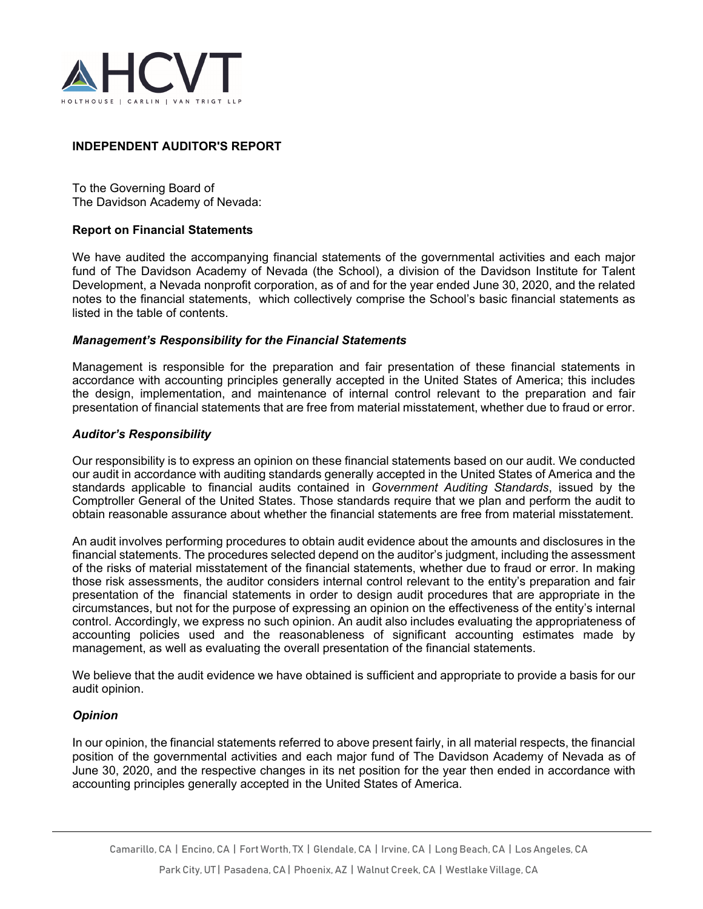

### **INDEPENDENT AUDITOR'S REPORT**

To the Governing Board of The Davidson Academy of Nevada:

#### **Report on Financial Statements**

We have audited the accompanying financial statements of the governmental activities and each major fund of The Davidson Academy of Nevada (the School), a division of the Davidson Institute for Talent Development, a Nevada nonprofit corporation, as of and for the year ended June 30, 2020, and the related notes to the financial statements, which collectively comprise the School's basic financial statements as listed in the table of contents.

#### *Management's Responsibility for the Financial Statements*

Management is responsible for the preparation and fair presentation of these financial statements in accordance with accounting principles generally accepted in the United States of America; this includes the design, implementation, and maintenance of internal control relevant to the preparation and fair presentation of financial statements that are free from material misstatement, whether due to fraud or error.

#### *Auditor's Responsibility*

Our responsibility is to express an opinion on these financial statements based on our audit. We conducted our audit in accordance with auditing standards generally accepted in the United States of America and the standards applicable to financial audits contained in *Government Auditing Standards*, issued by the Comptroller General of the United States. Those standards require that we plan and perform the audit to obtain reasonable assurance about whether the financial statements are free from material misstatement.

An audit involves performing procedures to obtain audit evidence about the amounts and disclosures in the financial statements. The procedures selected depend on the auditor's judgment, including the assessment of the risks of material misstatement of the financial statements, whether due to fraud or error. In making those risk assessments, the auditor considers internal control relevant to the entity's preparation and fair presentation of the financial statements in order to design audit procedures that are appropriate in the circumstances, but not for the purpose of expressing an opinion on the effectiveness of the entity's internal control. Accordingly, we express no such opinion. An audit also includes evaluating the appropriateness of accounting policies used and the reasonableness of significant accounting estimates made by management, as well as evaluating the overall presentation of the financial statements.

We believe that the audit evidence we have obtained is sufficient and appropriate to provide a basis for our audit opinion.

#### *Opinion*

In our opinion, the financial statements referred to above present fairly, in all material respects, the financial position of the governmental activities and each major fund of The Davidson Academy of Nevada as of June 30, 2020, and the respective changes in its net position for the year then ended in accordance with accounting principles generally accepted in the United States of America.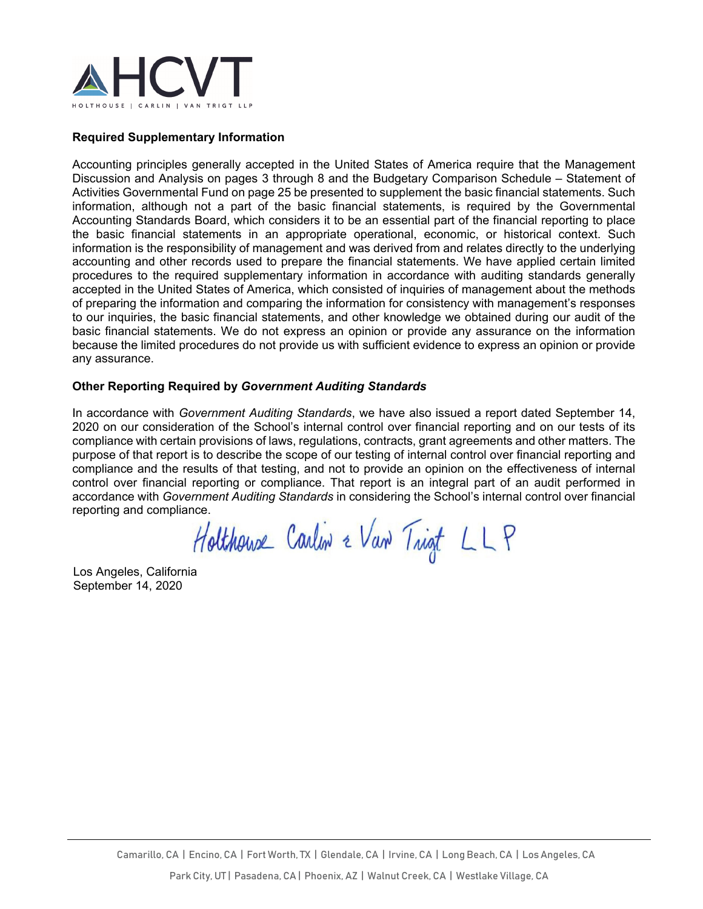

### **Required Supplementary Information**

Accounting principles generally accepted in the United States of America require that the Management Discussion and Analysis on pages 3 through 8 and the Budgetary Comparison Schedule – Statement of Activities Governmental Fund on page 25 be presented to supplement the basic financial statements. Such information, although not a part of the basic financial statements, is required by the Governmental Accounting Standards Board, which considers it to be an essential part of the financial reporting to place the basic financial statements in an appropriate operational, economic, or historical context. Such information is the responsibility of management and was derived from and relates directly to the underlying accounting and other records used to prepare the financial statements. We have applied certain limited procedures to the required supplementary information in accordance with auditing standards generally accepted in the United States of America, which consisted of inquiries of management about the methods of preparing the information and comparing the information for consistency with management's responses to our inquiries, the basic financial statements, and other knowledge we obtained during our audit of the basic financial statements. We do not express an opinion or provide any assurance on the information because the limited procedures do not provide us with sufficient evidence to express an opinion or provide any assurance.

### **Other Reporting Required by** *Government Auditing Standards*

In accordance with *Government Auditing Standards*, we have also issued a report dated September 14, 2020 on our consideration of the School's internal control over financial reporting and on our tests of its compliance with certain provisions of laws, regulations, contracts, grant agreements and other matters. The purpose of that report is to describe the scope of our testing of internal control over financial reporting and compliance and the results of that testing, and not to provide an opinion on the effectiveness of internal control over financial reporting or compliance. That report is an integral part of an audit performed in accordance with *Government Auditing Standards* in considering the School's internal control over financial reporting and compliance.

Holthouse Carlin & Van Trigt LLP

Los Angeles, California September 14, 2020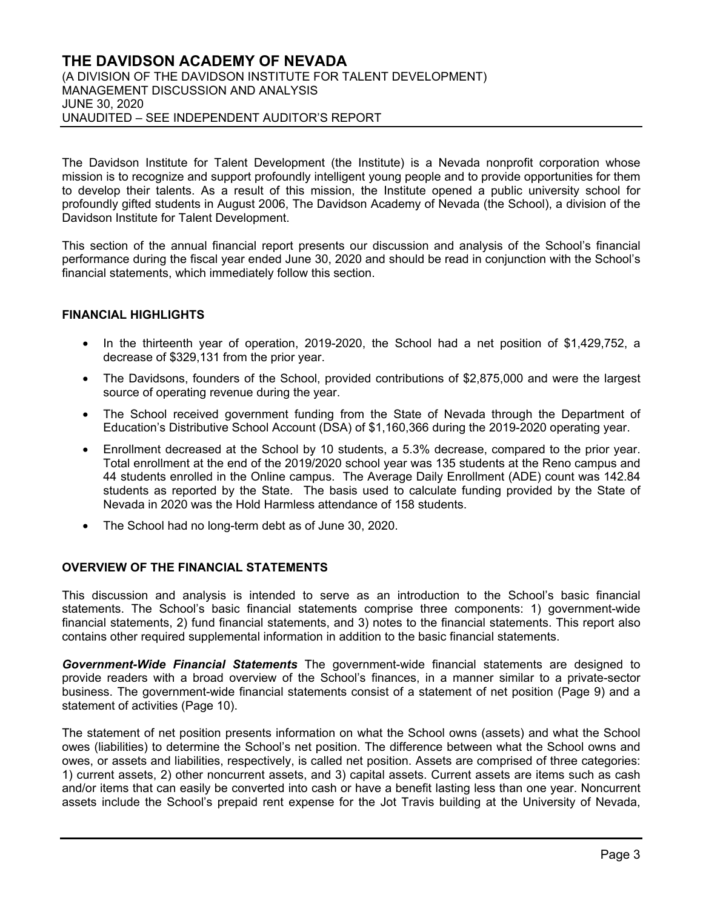(A DIVISION OF THE DAVIDSON INSTITUTE FOR TALENT DEVELOPMENT) MANAGEMENT DISCUSSION AND ANALYSIS JUNE 30, 2020 UNAUDITED – SEE INDEPENDENT AUDITOR'S REPORT

The Davidson Institute for Talent Development (the Institute) is a Nevada nonprofit corporation whose mission is to recognize and support profoundly intelligent young people and to provide opportunities for them to develop their talents. As a result of this mission, the Institute opened a public university school for profoundly gifted students in August 2006, The Davidson Academy of Nevada (the School), a division of the Davidson Institute for Talent Development.

This section of the annual financial report presents our discussion and analysis of the School's financial performance during the fiscal year ended June 30, 2020 and should be read in conjunction with the School's financial statements, which immediately follow this section.

#### **FINANCIAL HIGHLIGHTS**

- In the thirteenth year of operation, 2019-2020, the School had a net position of \$1,429,752, a decrease of \$329,131 from the prior year.
- The Davidsons, founders of the School, provided contributions of \$2,875,000 and were the largest source of operating revenue during the year.
- The School received government funding from the State of Nevada through the Department of Education's Distributive School Account (DSA) of \$1,160,366 during the 2019-2020 operating year.
- Enrollment decreased at the School by 10 students, a 5.3% decrease, compared to the prior year. Total enrollment at the end of the 2019/2020 school year was 135 students at the Reno campus and 44 students enrolled in the Online campus. The Average Daily Enrollment (ADE) count was 142.84 students as reported by the State. The basis used to calculate funding provided by the State of Nevada in 2020 was the Hold Harmless attendance of 158 students.
- The School had no long-term debt as of June 30, 2020.

#### **OVERVIEW OF THE FINANCIAL STATEMENTS**

This discussion and analysis is intended to serve as an introduction to the School's basic financial statements. The School's basic financial statements comprise three components: 1) government-wide financial statements, 2) fund financial statements, and 3) notes to the financial statements. This report also contains other required supplemental information in addition to the basic financial statements.

*Government-Wide Financial Statements* The government-wide financial statements are designed to provide readers with a broad overview of the School's finances, in a manner similar to a private-sector business. The government-wide financial statements consist of a statement of net position (Page 9) and a statement of activities (Page 10).

The statement of net position presents information on what the School owns (assets) and what the School owes (liabilities) to determine the School's net position. The difference between what the School owns and owes, or assets and liabilities, respectively, is called net position. Assets are comprised of three categories: 1) current assets, 2) other noncurrent assets, and 3) capital assets. Current assets are items such as cash and/or items that can easily be converted into cash or have a benefit lasting less than one year. Noncurrent assets include the School's prepaid rent expense for the Jot Travis building at the University of Nevada,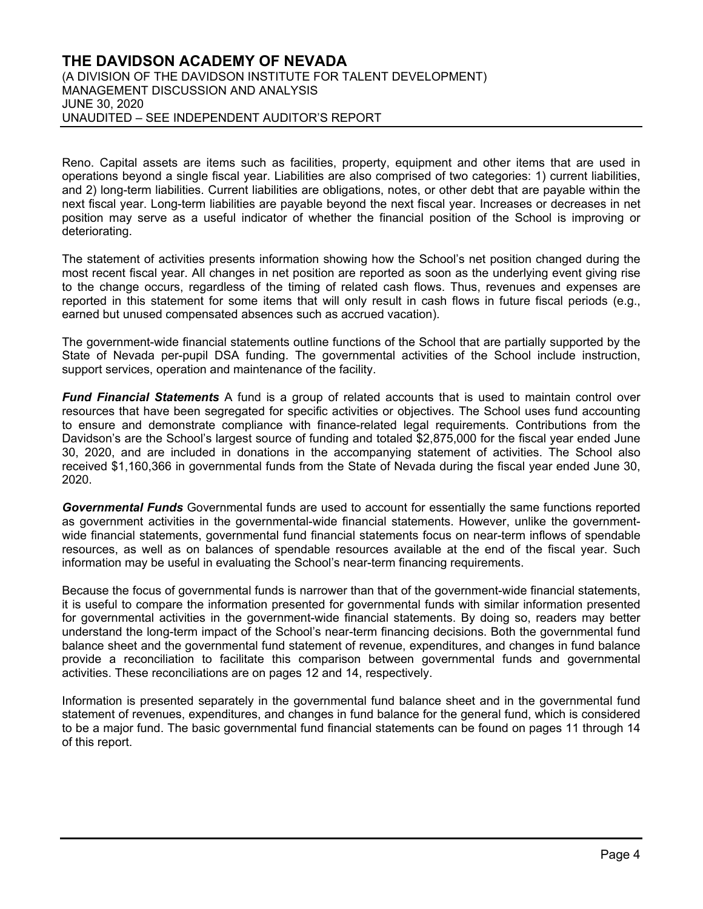(A DIVISION OF THE DAVIDSON INSTITUTE FOR TALENT DEVELOPMENT) MANAGEMENT DISCUSSION AND ANALYSIS JUNE 30, 2020 UNAUDITED – SEE INDEPENDENT AUDITOR'S REPORT

Reno. Capital assets are items such as facilities, property, equipment and other items that are used in operations beyond a single fiscal year. Liabilities are also comprised of two categories: 1) current liabilities, and 2) long-term liabilities. Current liabilities are obligations, notes, or other debt that are payable within the next fiscal year. Long-term liabilities are payable beyond the next fiscal year. Increases or decreases in net position may serve as a useful indicator of whether the financial position of the School is improving or deteriorating.

The statement of activities presents information showing how the School's net position changed during the most recent fiscal year. All changes in net position are reported as soon as the underlying event giving rise to the change occurs, regardless of the timing of related cash flows. Thus, revenues and expenses are reported in this statement for some items that will only result in cash flows in future fiscal periods (e.g., earned but unused compensated absences such as accrued vacation).

The government-wide financial statements outline functions of the School that are partially supported by the State of Nevada per-pupil DSA funding. The governmental activities of the School include instruction, support services, operation and maintenance of the facility.

*Fund Financial Statements* A fund is a group of related accounts that is used to maintain control over resources that have been segregated for specific activities or objectives. The School uses fund accounting to ensure and demonstrate compliance with finance-related legal requirements. Contributions from the Davidson's are the School's largest source of funding and totaled \$2,875,000 for the fiscal year ended June 30, 2020, and are included in donations in the accompanying statement of activities. The School also received \$1,160,366 in governmental funds from the State of Nevada during the fiscal year ended June 30, 2020.

*Governmental Funds* Governmental funds are used to account for essentially the same functions reported as government activities in the governmental-wide financial statements. However, unlike the governmentwide financial statements, governmental fund financial statements focus on near-term inflows of spendable resources, as well as on balances of spendable resources available at the end of the fiscal year. Such information may be useful in evaluating the School's near-term financing requirements.

Because the focus of governmental funds is narrower than that of the government-wide financial statements, it is useful to compare the information presented for governmental funds with similar information presented for governmental activities in the government-wide financial statements. By doing so, readers may better understand the long-term impact of the School's near-term financing decisions. Both the governmental fund balance sheet and the governmental fund statement of revenue, expenditures, and changes in fund balance provide a reconciliation to facilitate this comparison between governmental funds and governmental activities. These reconciliations are on pages 12 and 14, respectively.

Information is presented separately in the governmental fund balance sheet and in the governmental fund statement of revenues, expenditures, and changes in fund balance for the general fund, which is considered to be a major fund. The basic governmental fund financial statements can be found on pages 11 through 14 of this report.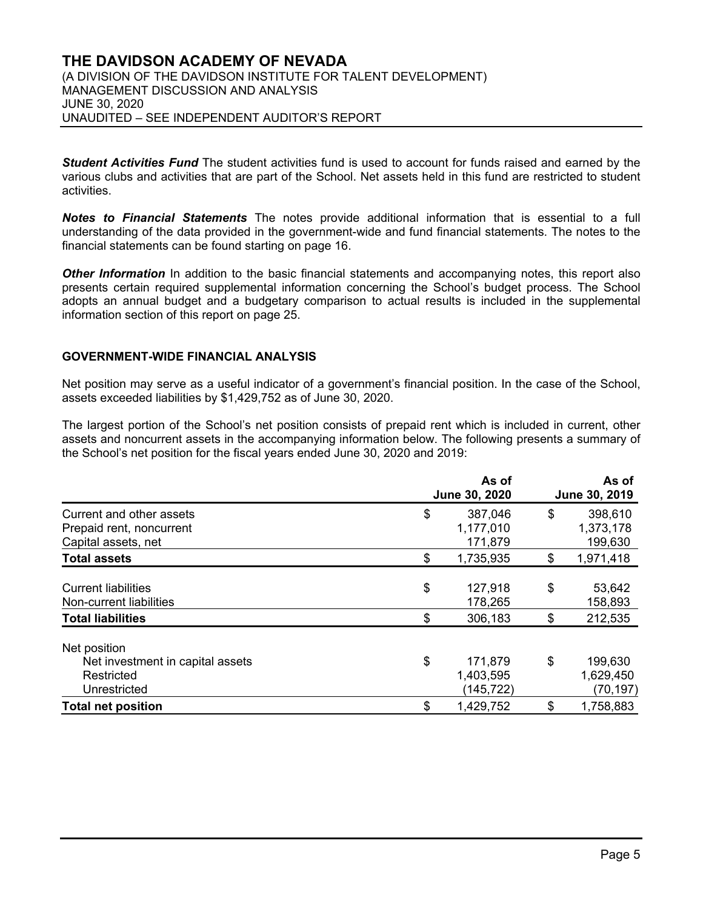### **THE DAVIDSON ACADEMY OF NEVADA**  (A DIVISION OF THE DAVIDSON INSTITUTE FOR TALENT DEVELOPMENT) MANAGEMENT DISCUSSION AND ANALYSIS JUNE 30, 2020 UNAUDITED – SEE INDEPENDENT AUDITOR'S REPORT

*Student Activities Fund* The student activities fund is used to account for funds raised and earned by the various clubs and activities that are part of the School. Net assets held in this fund are restricted to student activities.

*Notes to Financial Statements* The notes provide additional information that is essential to a full understanding of the data provided in the government-wide and fund financial statements. The notes to the financial statements can be found starting on page 16.

**Other Information** In addition to the basic financial statements and accompanying notes, this report also presents certain required supplemental information concerning the School's budget process. The School adopts an annual budget and a budgetary comparison to actual results is included in the supplemental information section of this report on page 25.

### **GOVERNMENT-WIDE FINANCIAL ANALYSIS**

Net position may serve as a useful indicator of a government's financial position. In the case of the School, assets exceeded liabilities by \$1,429,752 as of June 30, 2020.

The largest portion of the School's net position consists of prepaid rent which is included in current, other assets and noncurrent assets in the accompanying information below. The following presents a summary of the School's net position for the fiscal years ended June 30, 2020 and 2019:

|                                                       | As of<br>June 30, 2020   | As of<br>June 30, 2019 |                   |  |
|-------------------------------------------------------|--------------------------|------------------------|-------------------|--|
| Current and other assets                              | \$<br>387,046            | \$                     | 398,610           |  |
| Prepaid rent, noncurrent                              | 1,177,010                |                        | 1,373,178         |  |
| Capital assets, net                                   | 171,879                  |                        | 199,630           |  |
| <b>Total assets</b>                                   | \$<br>1,735,935          | \$                     | 1,971,418         |  |
| <b>Current liabilities</b><br>Non-current liabilities | \$<br>127,918<br>178,265 | \$                     | 53,642<br>158,893 |  |
| <b>Total liabilities</b>                              | \$<br>306,183            | \$                     | 212,535           |  |
| Net position                                          |                          |                        |                   |  |
| Net investment in capital assets                      | \$<br>171,879            | \$                     | 199,630           |  |
| Restricted                                            | 1,403,595                |                        | 1,629,450         |  |
| Unrestricted                                          | (145, 722)               |                        | (70, 197)         |  |
| <b>Total net position</b>                             | \$<br>1,429,752          | \$                     | 1,758,883         |  |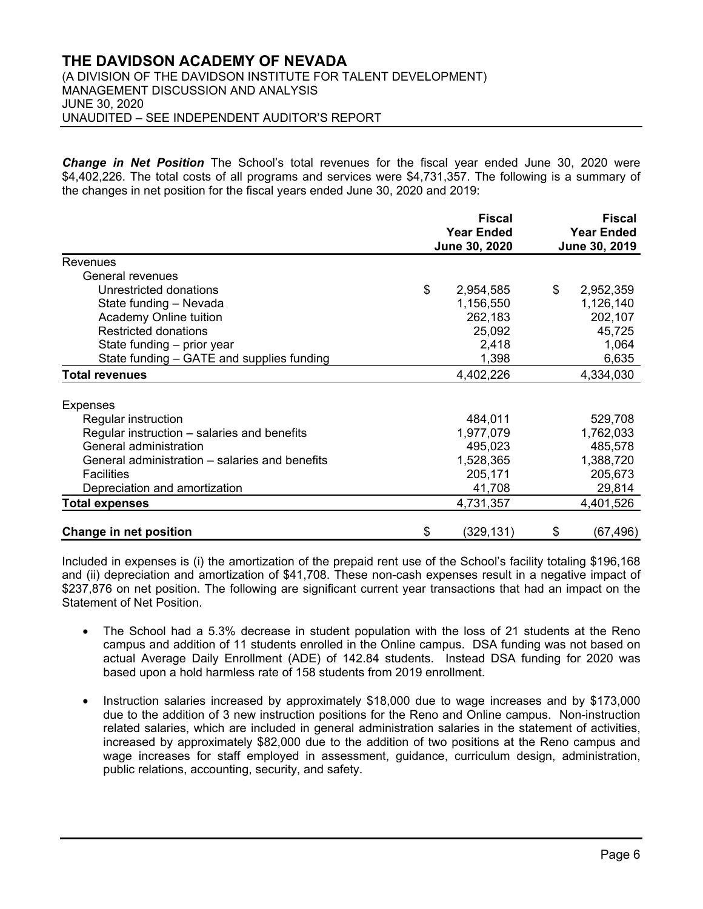(A DIVISION OF THE DAVIDSON INSTITUTE FOR TALENT DEVELOPMENT) MANAGEMENT DISCUSSION AND ANALYSIS JUNE 30, 2020 UNAUDITED – SEE INDEPENDENT AUDITOR'S REPORT

*Change in Net Position* The School's total revenues for the fiscal year ended June 30, 2020 were \$4,402,226. The total costs of all programs and services were \$4,731,357. The following is a summary of the changes in net position for the fiscal years ended June 30, 2020 and 2019:

|                                                | <b>Fiscal</b><br><b>Year Ended</b> | <b>Fiscal</b><br><b>Year Ended</b> |           |  |
|------------------------------------------------|------------------------------------|------------------------------------|-----------|--|
|                                                | June 30, 2020                      | June 30, 2019                      |           |  |
| Revenues                                       |                                    |                                    |           |  |
| General revenues                               |                                    |                                    |           |  |
| Unrestricted donations                         | \$<br>2,954,585                    | \$                                 | 2,952,359 |  |
| State funding - Nevada                         | 1,156,550                          |                                    | 1,126,140 |  |
| Academy Online tuition                         | 262,183                            |                                    | 202,107   |  |
| <b>Restricted donations</b>                    | 25,092                             |                                    | 45,725    |  |
| State funding - prior year                     | 2,418                              |                                    | 1,064     |  |
| State funding - GATE and supplies funding      | 1,398                              |                                    | 6,635     |  |
| <b>Total revenues</b>                          | 4,402,226                          |                                    | 4,334,030 |  |
| <b>Expenses</b>                                |                                    |                                    |           |  |
| Regular instruction                            | 484,011                            |                                    | 529,708   |  |
| Regular instruction – salaries and benefits    | 1,977,079                          |                                    | 1,762,033 |  |
| General administration                         | 495,023                            |                                    | 485,578   |  |
| General administration – salaries and benefits | 1,528,365                          |                                    | 1,388,720 |  |
| <b>Facilities</b>                              | 205,171                            |                                    | 205,673   |  |
| Depreciation and amortization                  | 41,708                             |                                    | 29,814    |  |
| <b>Total expenses</b>                          | 4,731,357                          |                                    | 4,401,526 |  |
| Change in net position                         | \$<br>(329, 131)                   | \$                                 | (67, 496) |  |

Included in expenses is (i) the amortization of the prepaid rent use of the School's facility totaling \$196,168 and (ii) depreciation and amortization of \$41,708. These non-cash expenses result in a negative impact of \$237,876 on net position. The following are significant current year transactions that had an impact on the Statement of Net Position.

- The School had a 5.3% decrease in student population with the loss of 21 students at the Reno campus and addition of 11 students enrolled in the Online campus. DSA funding was not based on actual Average Daily Enrollment (ADE) of 142.84 students. Instead DSA funding for 2020 was based upon a hold harmless rate of 158 students from 2019 enrollment.
- Instruction salaries increased by approximately \$18,000 due to wage increases and by \$173,000 due to the addition of 3 new instruction positions for the Reno and Online campus. Non-instruction related salaries, which are included in general administration salaries in the statement of activities, increased by approximately \$82,000 due to the addition of two positions at the Reno campus and wage increases for staff employed in assessment, guidance, curriculum design, administration, public relations, accounting, security, and safety.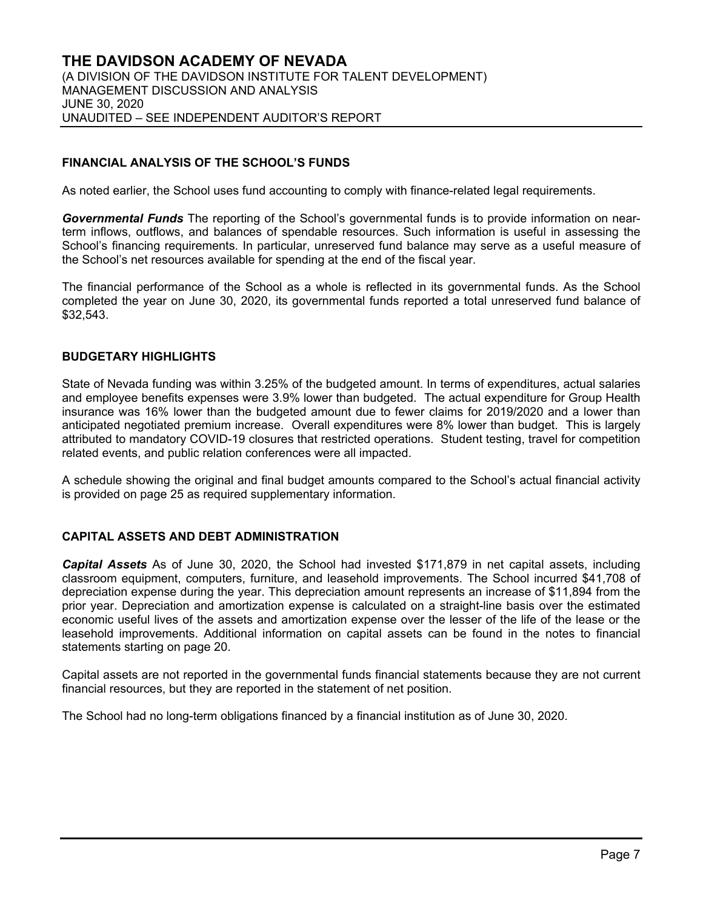### **THE DAVIDSON ACADEMY OF NEVADA**  (A DIVISION OF THE DAVIDSON INSTITUTE FOR TALENT DEVELOPMENT) MANAGEMENT DISCUSSION AND ANALYSIS JUNE 30, 2020 UNAUDITED – SEE INDEPENDENT AUDITOR'S REPORT

### **FINANCIAL ANALYSIS OF THE SCHOOL'S FUNDS**

As noted earlier, the School uses fund accounting to comply with finance-related legal requirements.

*Governmental Funds* The reporting of the School's governmental funds is to provide information on nearterm inflows, outflows, and balances of spendable resources. Such information is useful in assessing the School's financing requirements. In particular, unreserved fund balance may serve as a useful measure of the School's net resources available for spending at the end of the fiscal year.

The financial performance of the School as a whole is reflected in its governmental funds. As the School completed the year on June 30, 2020, its governmental funds reported a total unreserved fund balance of \$32,543.

#### **BUDGETARY HIGHLIGHTS**

State of Nevada funding was within 3.25% of the budgeted amount. In terms of expenditures, actual salaries and employee benefits expenses were 3.9% lower than budgeted. The actual expenditure for Group Health insurance was 16% lower than the budgeted amount due to fewer claims for 2019/2020 and a lower than anticipated negotiated premium increase. Overall expenditures were 8% lower than budget. This is largely attributed to mandatory COVID-19 closures that restricted operations. Student testing, travel for competition related events, and public relation conferences were all impacted.

A schedule showing the original and final budget amounts compared to the School's actual financial activity is provided on page 25 as required supplementary information.

#### **CAPITAL ASSETS AND DEBT ADMINISTRATION**

*Capital Assets* As of June 30, 2020, the School had invested \$171,879 in net capital assets, including classroom equipment, computers, furniture, and leasehold improvements. The School incurred \$41,708 of depreciation expense during the year. This depreciation amount represents an increase of \$11,894 from the prior year. Depreciation and amortization expense is calculated on a straight-line basis over the estimated economic useful lives of the assets and amortization expense over the lesser of the life of the lease or the leasehold improvements. Additional information on capital assets can be found in the notes to financial statements starting on page 20.

Capital assets are not reported in the governmental funds financial statements because they are not current financial resources, but they are reported in the statement of net position.

The School had no long-term obligations financed by a financial institution as of June 30, 2020.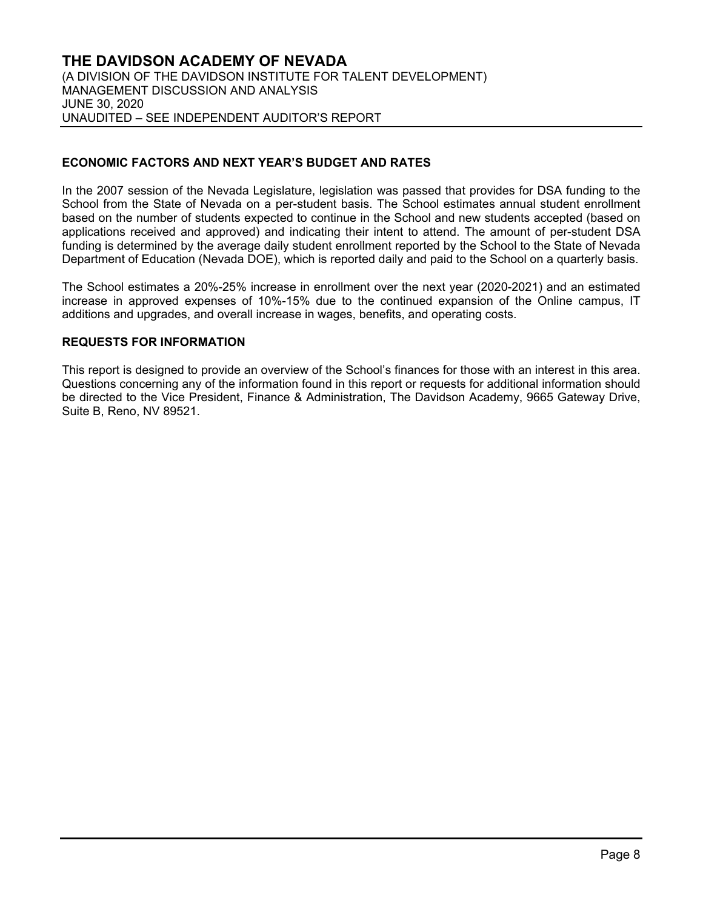### **THE DAVIDSON ACADEMY OF NEVADA**  (A DIVISION OF THE DAVIDSON INSTITUTE FOR TALENT DEVELOPMENT) MANAGEMENT DISCUSSION AND ANALYSIS JUNE 30, 2020 UNAUDITED – SEE INDEPENDENT AUDITOR'S REPORT

### **ECONOMIC FACTORS AND NEXT YEAR'S BUDGET AND RATES**

In the 2007 session of the Nevada Legislature, legislation was passed that provides for DSA funding to the School from the State of Nevada on a per-student basis. The School estimates annual student enrollment based on the number of students expected to continue in the School and new students accepted (based on applications received and approved) and indicating their intent to attend. The amount of per-student DSA funding is determined by the average daily student enrollment reported by the School to the State of Nevada Department of Education (Nevada DOE), which is reported daily and paid to the School on a quarterly basis.

The School estimates a 20%-25% increase in enrollment over the next year (2020-2021) and an estimated increase in approved expenses of 10%-15% due to the continued expansion of the Online campus, IT additions and upgrades, and overall increase in wages, benefits, and operating costs.

#### **REQUESTS FOR INFORMATION**

This report is designed to provide an overview of the School's finances for those with an interest in this area. Questions concerning any of the information found in this report or requests for additional information should be directed to the Vice President, Finance & Administration, The Davidson Academy, 9665 Gateway Drive, Suite B, Reno, NV 89521.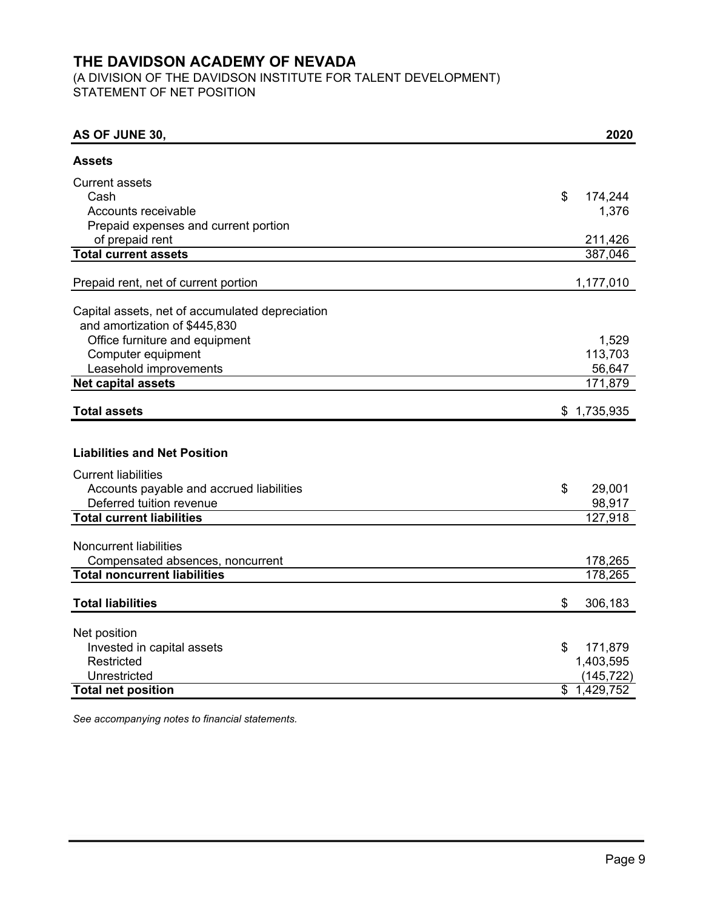(A DIVISION OF THE DAVIDSON INSTITUTE FOR TALENT DEVELOPMENT) STATEMENT OF NET POSITION

| AS OF JUNE 30,                                  | 2020          |
|-------------------------------------------------|---------------|
| <b>Assets</b>                                   |               |
| <b>Current assets</b>                           |               |
| Cash                                            | \$<br>174,244 |
| Accounts receivable                             | 1,376         |
| Prepaid expenses and current portion            |               |
| of prepaid rent                                 | 211,426       |
| <b>Total current assets</b>                     | 387,046       |
| Prepaid rent, net of current portion            | 1,177,010     |
|                                                 |               |
| Capital assets, net of accumulated depreciation |               |
| and amortization of \$445,830                   |               |
| Office furniture and equipment                  | 1,529         |
| Computer equipment                              | 113,703       |
| Leasehold improvements                          | 56,647        |
| Net capital assets                              | 171,879       |
| <b>Total assets</b>                             | \$1,735,935   |
|                                                 |               |
| <b>Liabilities and Net Position</b>             |               |
| <b>Current liabilities</b>                      |               |
| Accounts payable and accrued liabilities        | \$<br>29,001  |
| Deferred tuition revenue                        | 98,917        |
| <b>Total current liabilities</b>                | 127,918       |
|                                                 |               |
| <b>Noncurrent liabilities</b>                   |               |
| Compensated absences, noncurrent                | 178,265       |
| <b>Total noncurrent liabilities</b>             | 178,265       |
| <b>Total liabilities</b>                        | \$<br>306,183 |
|                                                 |               |
| Net position                                    |               |
| Invested in capital assets                      | \$<br>171,879 |
| Restricted                                      | 1,403,595     |
| Unrestricted                                    | (145, 722)    |
| <b>Total net position</b>                       | \$1,429,752   |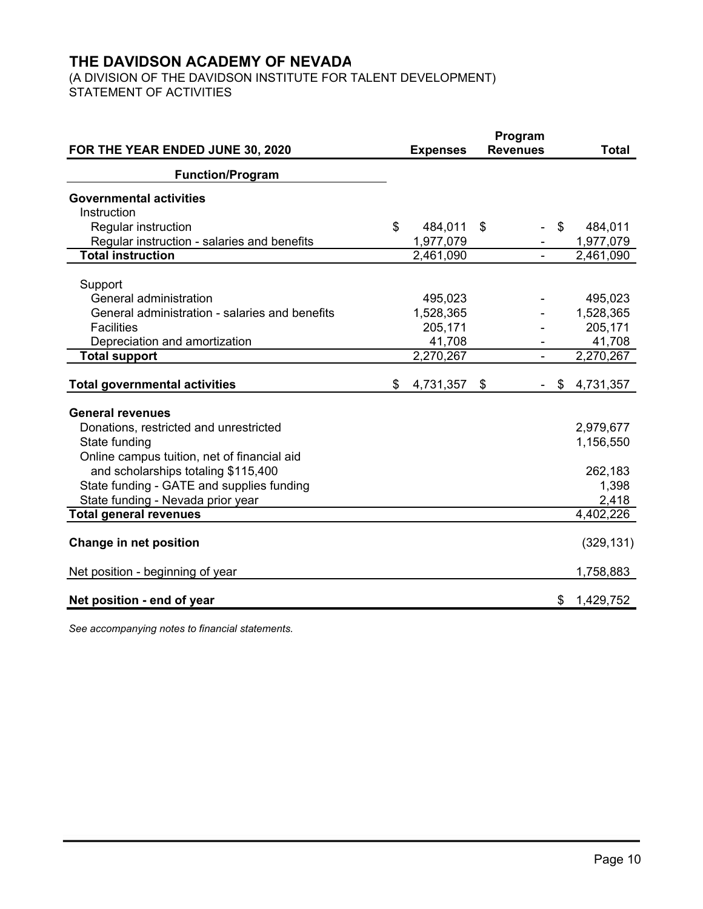(A DIVISION OF THE DAVIDSON INSTITUTE FOR TALENT DEVELOPMENT) STATEMENT OF ACTIVITIES

|                                                | Program |                 |                          |    |              |  |
|------------------------------------------------|---------|-----------------|--------------------------|----|--------------|--|
| FOR THE YEAR ENDED JUNE 30, 2020               |         | <b>Expenses</b> | <b>Revenues</b>          |    | <b>Total</b> |  |
| <b>Function/Program</b>                        |         |                 |                          |    |              |  |
| <b>Governmental activities</b>                 |         |                 |                          |    |              |  |
| Instruction                                    |         |                 |                          |    |              |  |
| Regular instruction                            | \$      | 484,011         | \$                       | \$ | 484,011      |  |
| Regular instruction - salaries and benefits    |         | 1,977,079       |                          |    | 1,977,079    |  |
| <b>Total instruction</b>                       |         | 2,461,090       |                          |    | 2,461,090    |  |
|                                                |         |                 |                          |    |              |  |
| Support<br>General administration              |         | 495,023         |                          |    | 495,023      |  |
| General administration - salaries and benefits |         | 1,528,365       |                          |    | 1,528,365    |  |
| <b>Facilities</b>                              |         | 205,171         |                          |    | 205,171      |  |
| Depreciation and amortization                  |         | 41,708          |                          |    | 41,708       |  |
| <b>Total support</b>                           |         | 2,270,267       | $\overline{\phantom{0}}$ |    | 2,270,267    |  |
|                                                |         |                 |                          |    |              |  |
| <b>Total governmental activities</b>           | \$      | 4,731,357       | \$                       | \$ | 4,731,357    |  |
| <b>General revenues</b>                        |         |                 |                          |    |              |  |
| Donations, restricted and unrestricted         |         |                 |                          |    | 2,979,677    |  |
| State funding                                  |         |                 |                          |    | 1,156,550    |  |
| Online campus tuition, net of financial aid    |         |                 |                          |    |              |  |
| and scholarships totaling \$115,400            |         |                 |                          |    | 262,183      |  |
| State funding - GATE and supplies funding      |         |                 |                          |    | 1,398        |  |
| State funding - Nevada prior year              |         |                 |                          |    | 2,418        |  |
| <b>Total general revenues</b>                  |         |                 |                          |    | 4,402,226    |  |
|                                                |         |                 |                          |    |              |  |
| Change in net position                         |         |                 |                          |    | (329, 131)   |  |
| Net position - beginning of year               |         |                 |                          |    | 1,758,883    |  |
| Net position - end of year                     |         |                 |                          | \$ | 1,429,752    |  |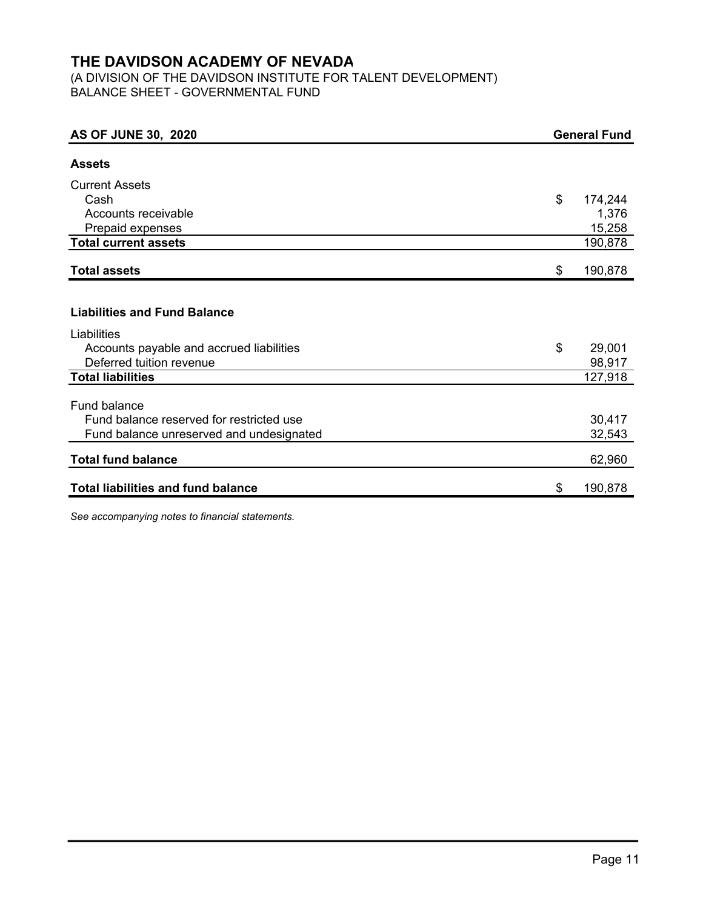(A DIVISION OF THE DAVIDSON INSTITUTE FOR TALENT DEVELOPMENT) BALANCE SHEET - GOVERNMENTAL FUND

| AS OF JUNE 30, 2020                       |    | <b>General Fund</b> |
|-------------------------------------------|----|---------------------|
| <b>Assets</b>                             |    |                     |
| <b>Current Assets</b>                     |    |                     |
| Cash                                      | \$ | 174,244             |
| Accounts receivable                       |    | 1,376               |
| Prepaid expenses                          |    | 15,258              |
| <b>Total current assets</b>               |    | 190,878             |
| <b>Total assets</b>                       | \$ | 190,878             |
|                                           |    |                     |
| <b>Liabilities and Fund Balance</b>       |    |                     |
| Liabilities                               |    |                     |
| Accounts payable and accrued liabilities  | \$ | 29,001              |
| Deferred tuition revenue                  |    | 98,917              |
| <b>Total liabilities</b>                  |    | 127,918             |
| Fund balance                              |    |                     |
| Fund balance reserved for restricted use  |    | 30,417              |
| Fund balance unreserved and undesignated  |    | 32,543              |
| <b>Total fund balance</b>                 |    | 62,960              |
|                                           |    |                     |
| <b>Total liabilities and fund balance</b> | \$ | 190,878             |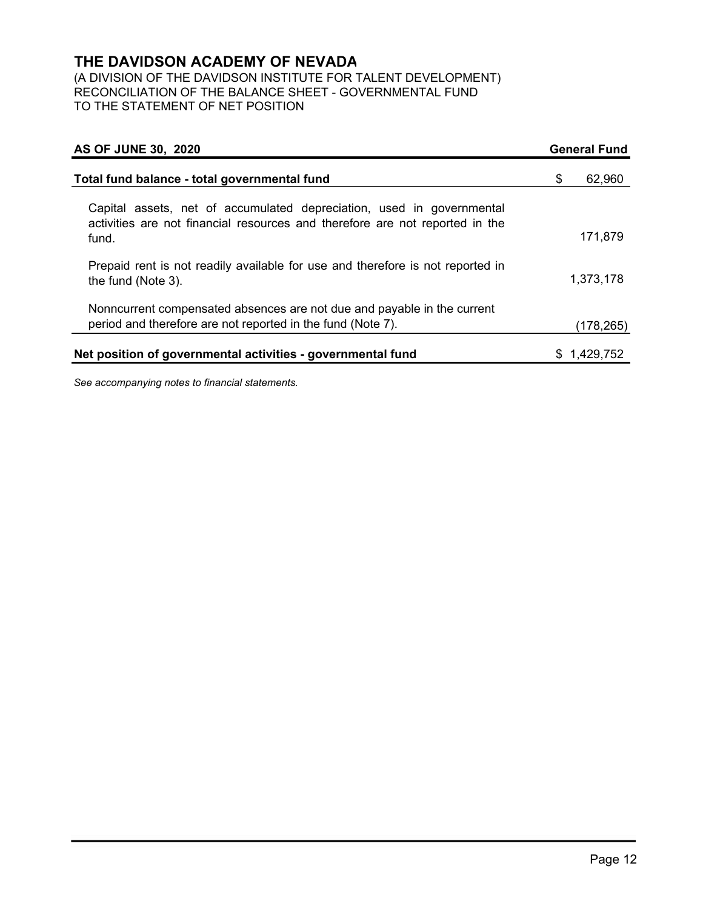(A DIVISION OF THE DAVIDSON INSTITUTE FOR TALENT DEVELOPMENT) RECONCILIATION OF THE BALANCE SHEET - GOVERNMENTAL FUND TO THE STATEMENT OF NET POSITION

| AS OF JUNE 30, 2020                                                                                                                                            |   | <b>General Fund</b> |
|----------------------------------------------------------------------------------------------------------------------------------------------------------------|---|---------------------|
| Total fund balance - total governmental fund                                                                                                                   | S | 62,960              |
| Capital assets, net of accumulated depreciation, used in governmental<br>activities are not financial resources and therefore are not reported in the<br>fund. |   | 171,879             |
| Prepaid rent is not readily available for use and therefore is not reported in<br>the fund (Note 3).                                                           |   | 1,373,178           |
| Nonncurrent compensated absences are not due and payable in the current<br>period and therefore are not reported in the fund (Note 7).                         |   | (178,265)           |
| Net position of governmental activities - governmental fund                                                                                                    |   | \$1.429.752         |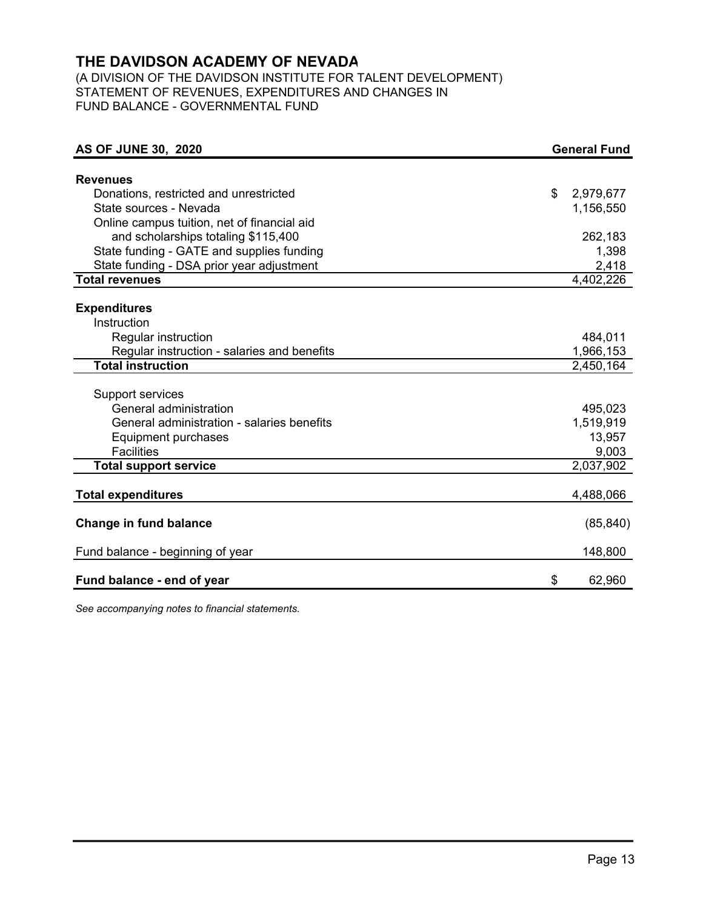(A DIVISION OF THE DAVIDSON INSTITUTE FOR TALENT DEVELOPMENT) STATEMENT OF REVENUES, EXPENDITURES AND CHANGES IN FUND BALANCE - GOVERNMENTAL FUND

| AS OF JUNE 30, 2020                         | <b>General Fund</b> |
|---------------------------------------------|---------------------|
|                                             |                     |
| <b>Revenues</b>                             |                     |
| Donations, restricted and unrestricted      | \$<br>2,979,677     |
| State sources - Nevada                      | 1,156,550           |
| Online campus tuition, net of financial aid |                     |
| and scholarships totaling \$115,400         | 262,183             |
| State funding - GATE and supplies funding   | 1,398               |
| State funding - DSA prior year adjustment   | 2,418               |
| <b>Total revenues</b>                       | 4,402,226           |
|                                             |                     |
| <b>Expenditures</b>                         |                     |
| Instruction                                 |                     |
| Regular instruction                         | 484,011             |
| Regular instruction - salaries and benefits | 1,966,153           |
| <b>Total instruction</b>                    | 2,450,164           |
| Support services                            |                     |
| General administration                      | 495,023             |
| General administration - salaries benefits  | 1,519,919           |
| Equipment purchases                         | 13,957              |
| <b>Facilities</b>                           | 9,003               |
| <b>Total support service</b>                | 2,037,902           |
|                                             |                     |
| <b>Total expenditures</b>                   | 4,488,066           |
|                                             |                     |
| Change in fund balance                      | (85, 840)           |
| Fund balance - beginning of year            | 148,800             |
| Fund balance - end of year                  | \$<br>62,960        |
|                                             |                     |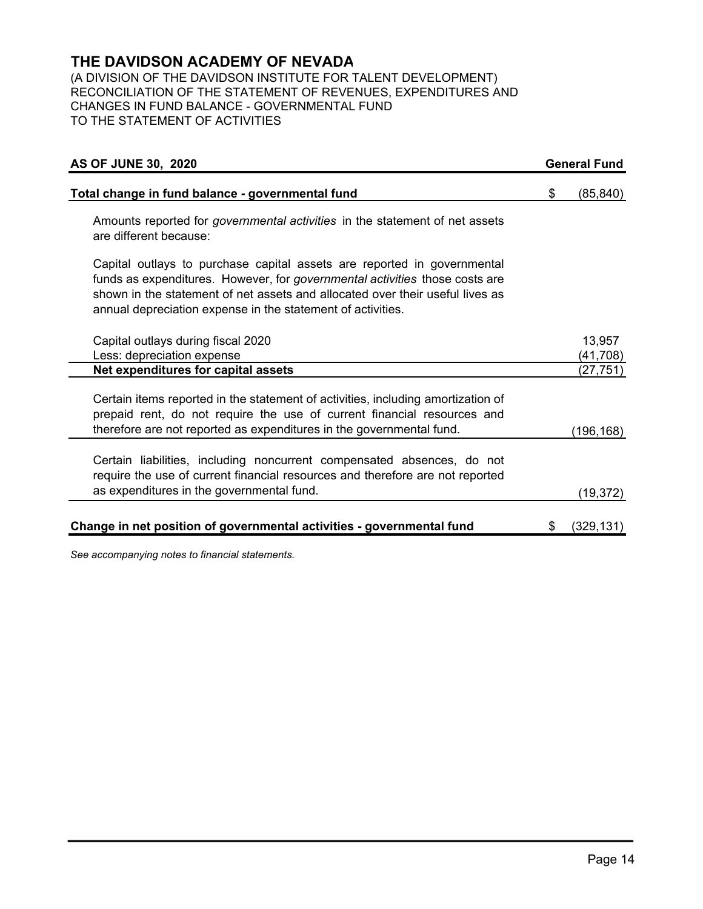(A DIVISION OF THE DAVIDSON INSTITUTE FOR TALENT DEVELOPMENT) RECONCILIATION OF THE STATEMENT OF REVENUES, EXPENDITURES AND CHANGES IN FUND BALANCE - GOVERNMENTAL FUND TO THE STATEMENT OF ACTIVITIES

| AS OF JUNE 30, 2020                                                                                                                                                                                                                                                                                           | <b>General Fund</b> |
|---------------------------------------------------------------------------------------------------------------------------------------------------------------------------------------------------------------------------------------------------------------------------------------------------------------|---------------------|
| Total change in fund balance - governmental fund                                                                                                                                                                                                                                                              | \$<br>(85, 840)     |
| Amounts reported for <i>governmental activities</i> in the statement of net assets<br>are different because:                                                                                                                                                                                                  |                     |
| Capital outlays to purchase capital assets are reported in governmental<br>funds as expenditures. However, for <i>governmental activities</i> those costs are<br>shown in the statement of net assets and allocated over their useful lives as<br>annual depreciation expense in the statement of activities. |                     |
| Capital outlays during fiscal 2020<br>Less: depreciation expense                                                                                                                                                                                                                                              | 13,957<br>(41,708)  |
| Net expenditures for capital assets                                                                                                                                                                                                                                                                           | (27,751)            |
| Certain items reported in the statement of activities, including amortization of<br>prepaid rent, do not require the use of current financial resources and<br>therefore are not reported as expenditures in the governmental fund.                                                                           | (196,168)           |
| Certain liabilities, including noncurrent compensated absences, do not<br>require the use of current financial resources and therefore are not reported<br>as expenditures in the governmental fund.                                                                                                          | (19, 372)           |
| Change in net position of governmental activities - governmental fund                                                                                                                                                                                                                                         | \$<br>(329, 131)    |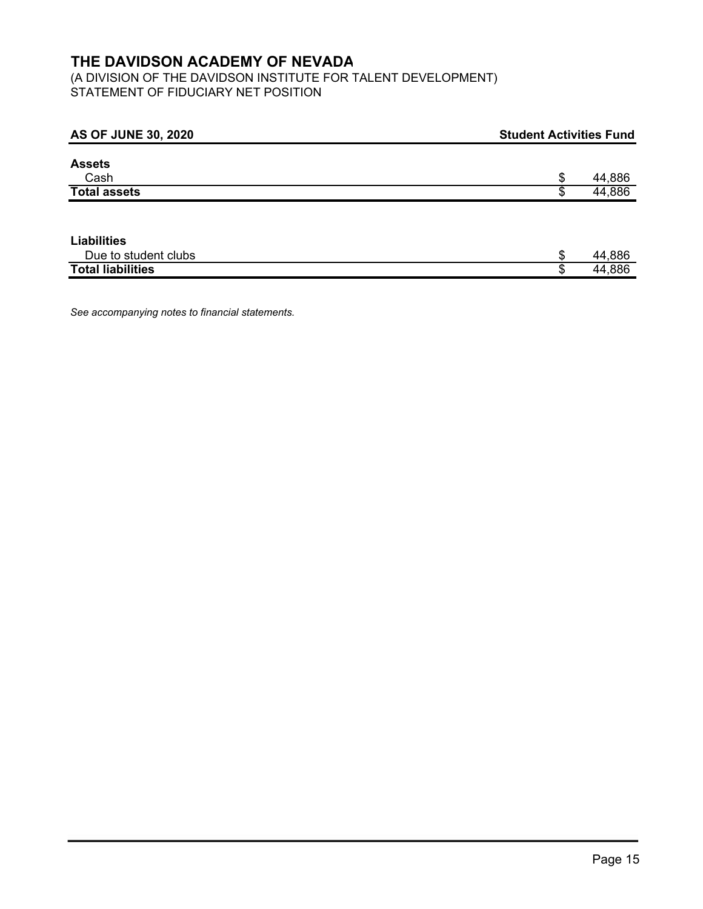(A DIVISION OF THE DAVIDSON INSTITUTE FOR TALENT DEVELOPMENT) STATEMENT OF FIDUCIARY NET POSITION

| <b>AS OF JUNE 30, 2020</b> | <b>Student Activities Fund</b> |
|----------------------------|--------------------------------|
| <b>Assets</b>              |                                |
| Cash                       | \$<br>44,886                   |
| <b>Total assets</b>        | 44,886                         |
|                            |                                |
| <b>Liabilities</b>         |                                |
| Due to student clubs       | 44,886<br>\$                   |
| <b>Total liabilities</b>   | 44,886<br>\$                   |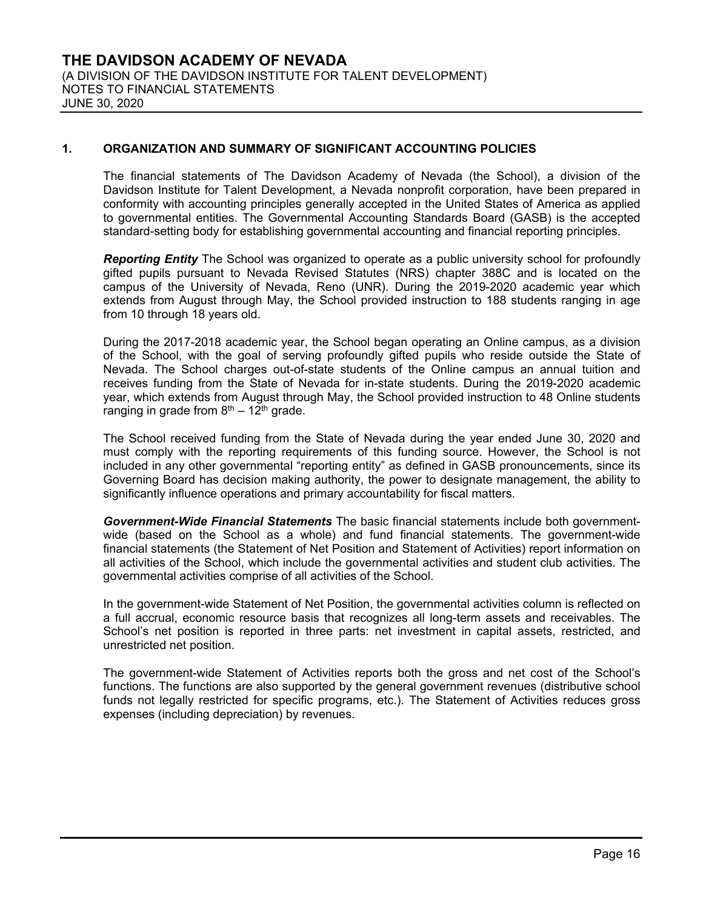### **THE DAVIDSON ACADEMY OF NEVADA**  (A DIVISION OF THE DAVIDSON INSTITUTE FOR TALENT DEVELOPMENT) NOTES TO FINANCIAL STATEMENTS JUNE 30, 2020

#### **1. ORGANIZATION AND SUMMARY OF SIGNIFICANT ACCOUNTING POLICIES**

The financial statements of The Davidson Academy of Nevada (the School), a division of the Davidson Institute for Talent Development, a Nevada nonprofit corporation, have been prepared in conformity with accounting principles generally accepted in the United States of America as applied to governmental entities. The Governmental Accounting Standards Board (GASB) is the accepted standard-setting body for establishing governmental accounting and financial reporting principles.

*Reporting Entity* The School was organized to operate as a public university school for profoundly gifted pupils pursuant to Nevada Revised Statutes (NRS) chapter 388C and is located on the campus of the University of Nevada, Reno (UNR). During the 2019-2020 academic year which extends from August through May, the School provided instruction to 188 students ranging in age from 10 through 18 years old.

During the 2017-2018 academic year, the School began operating an Online campus, as a division of the School, with the goal of serving profoundly gifted pupils who reside outside the State of Nevada. The School charges out-of-state students of the Online campus an annual tuition and receives funding from the State of Nevada for in-state students. During the 2019-2020 academic year, which extends from August through May, the School provided instruction to 48 Online students ranging in grade from  $8<sup>th</sup> - 12<sup>th</sup>$  grade.

The School received funding from the State of Nevada during the year ended June 30, 2020 and must comply with the reporting requirements of this funding source. However, the School is not included in any other governmental "reporting entity" as defined in GASB pronouncements, since its Governing Board has decision making authority, the power to designate management, the ability to significantly influence operations and primary accountability for fiscal matters.

*Government-Wide Financial Statements* The basic financial statements include both governmentwide (based on the School as a whole) and fund financial statements. The government-wide financial statements (the Statement of Net Position and Statement of Activities) report information on all activities of the School, which include the governmental activities and student club activities. The governmental activities comprise of all activities of the School.

In the government-wide Statement of Net Position, the governmental activities column is reflected on a full accrual, economic resource basis that recognizes all long-term assets and receivables. The School's net position is reported in three parts: net investment in capital assets, restricted, and unrestricted net position.

The government-wide Statement of Activities reports both the gross and net cost of the School's functions. The functions are also supported by the general government revenues (distributive school funds not legally restricted for specific programs, etc.). The Statement of Activities reduces gross expenses (including depreciation) by revenues.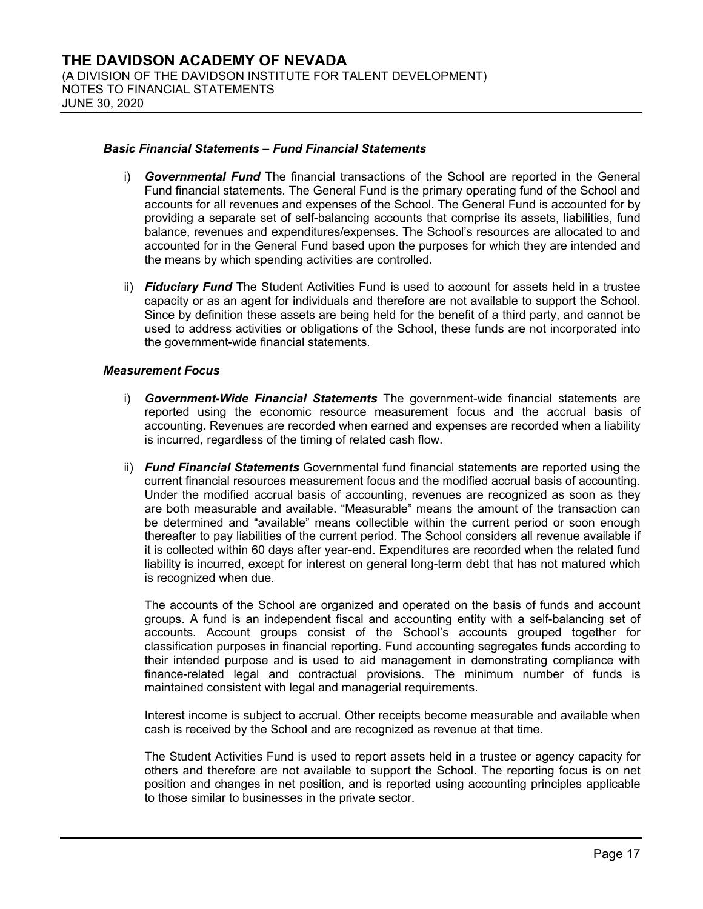#### *Basic Financial Statements – Fund Financial Statements*

- i) *Governmental Fund* The financial transactions of the School are reported in the General Fund financial statements. The General Fund is the primary operating fund of the School and accounts for all revenues and expenses of the School. The General Fund is accounted for by providing a separate set of self-balancing accounts that comprise its assets, liabilities, fund balance, revenues and expenditures/expenses. The School's resources are allocated to and accounted for in the General Fund based upon the purposes for which they are intended and the means by which spending activities are controlled.
- ii) *Fiduciary Fund* The Student Activities Fund is used to account for assets held in a trustee capacity or as an agent for individuals and therefore are not available to support the School. Since by definition these assets are being held for the benefit of a third party, and cannot be used to address activities or obligations of the School, these funds are not incorporated into the government-wide financial statements.

#### *Measurement Focus*

- i) *Government-Wide Financial Statements* The government-wide financial statements are reported using the economic resource measurement focus and the accrual basis of accounting. Revenues are recorded when earned and expenses are recorded when a liability is incurred, regardless of the timing of related cash flow.
- ii) *Fund Financial Statements* Governmental fund financial statements are reported using the current financial resources measurement focus and the modified accrual basis of accounting. Under the modified accrual basis of accounting, revenues are recognized as soon as they are both measurable and available. "Measurable" means the amount of the transaction can be determined and "available" means collectible within the current period or soon enough thereafter to pay liabilities of the current period. The School considers all revenue available if it is collected within 60 days after year-end. Expenditures are recorded when the related fund liability is incurred, except for interest on general long-term debt that has not matured which is recognized when due.

The accounts of the School are organized and operated on the basis of funds and account groups. A fund is an independent fiscal and accounting entity with a self-balancing set of accounts. Account groups consist of the School's accounts grouped together for classification purposes in financial reporting. Fund accounting segregates funds according to their intended purpose and is used to aid management in demonstrating compliance with finance-related legal and contractual provisions. The minimum number of funds is maintained consistent with legal and managerial requirements.

Interest income is subject to accrual. Other receipts become measurable and available when cash is received by the School and are recognized as revenue at that time.

The Student Activities Fund is used to report assets held in a trustee or agency capacity for others and therefore are not available to support the School. The reporting focus is on net position and changes in net position, and is reported using accounting principles applicable to those similar to businesses in the private sector.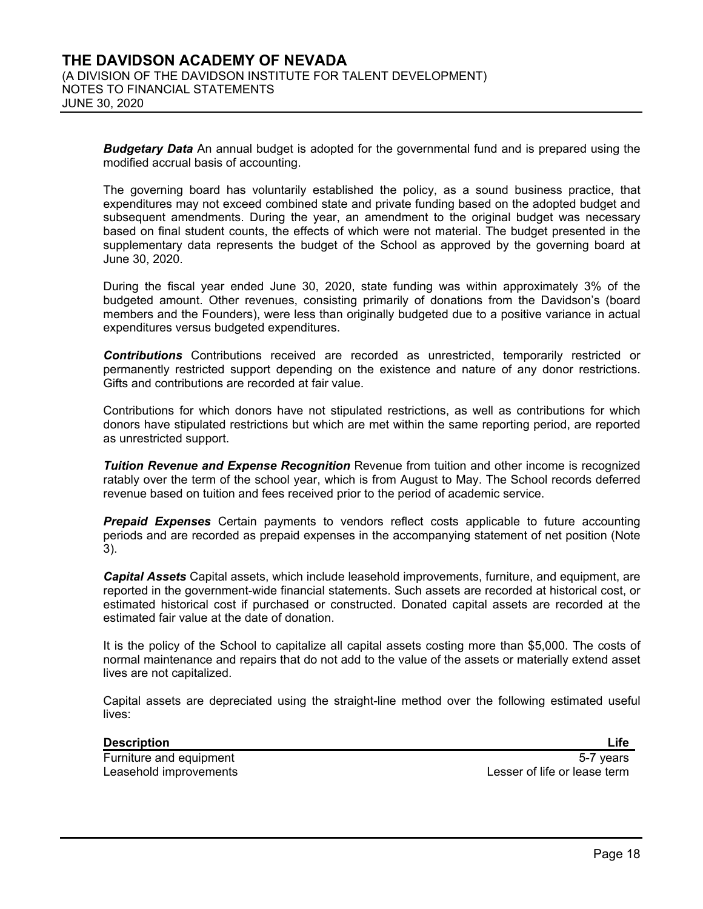#### **THE DAVIDSON ACADEMY OF NEVADA**  (A DIVISION OF THE DAVIDSON INSTITUTE FOR TALENT DEVELOPMENT) NOTES TO FINANCIAL STATEMENTS JUNE 30, 2020

*Budgetary Data* An annual budget is adopted for the governmental fund and is prepared using the modified accrual basis of accounting.

The governing board has voluntarily established the policy, as a sound business practice, that expenditures may not exceed combined state and private funding based on the adopted budget and subsequent amendments. During the year, an amendment to the original budget was necessary based on final student counts, the effects of which were not material. The budget presented in the supplementary data represents the budget of the School as approved by the governing board at June 30, 2020.

During the fiscal year ended June 30, 2020, state funding was within approximately 3% of the budgeted amount. Other revenues, consisting primarily of donations from the Davidson's (board members and the Founders), were less than originally budgeted due to a positive variance in actual expenditures versus budgeted expenditures.

*Contributions* Contributions received are recorded as unrestricted, temporarily restricted or permanently restricted support depending on the existence and nature of any donor restrictions. Gifts and contributions are recorded at fair value.

Contributions for which donors have not stipulated restrictions, as well as contributions for which donors have stipulated restrictions but which are met within the same reporting period, are reported as unrestricted support.

**Tuition Revenue and Expense Recognition** Revenue from tuition and other income is recognized ratably over the term of the school year, which is from August to May. The School records deferred revenue based on tuition and fees received prior to the period of academic service.

*Prepaid Expenses* Certain payments to vendors reflect costs applicable to future accounting periods and are recorded as prepaid expenses in the accompanying statement of net position (Note 3).

*Capital Assets* Capital assets, which include leasehold improvements, furniture, and equipment, are reported in the government-wide financial statements. Such assets are recorded at historical cost, or estimated historical cost if purchased or constructed. Donated capital assets are recorded at the estimated fair value at the date of donation.

It is the policy of the School to capitalize all capital assets costing more than \$5,000. The costs of normal maintenance and repairs that do not add to the value of the assets or materially extend asset lives are not capitalized.

Capital assets are depreciated using the straight-line method over the following estimated useful lives:

#### **Description Life**

Leasehold improvements

Furniture and equipment 5-7 years<br>
Lesser of life or lease term<br>
Lesser of life or lease term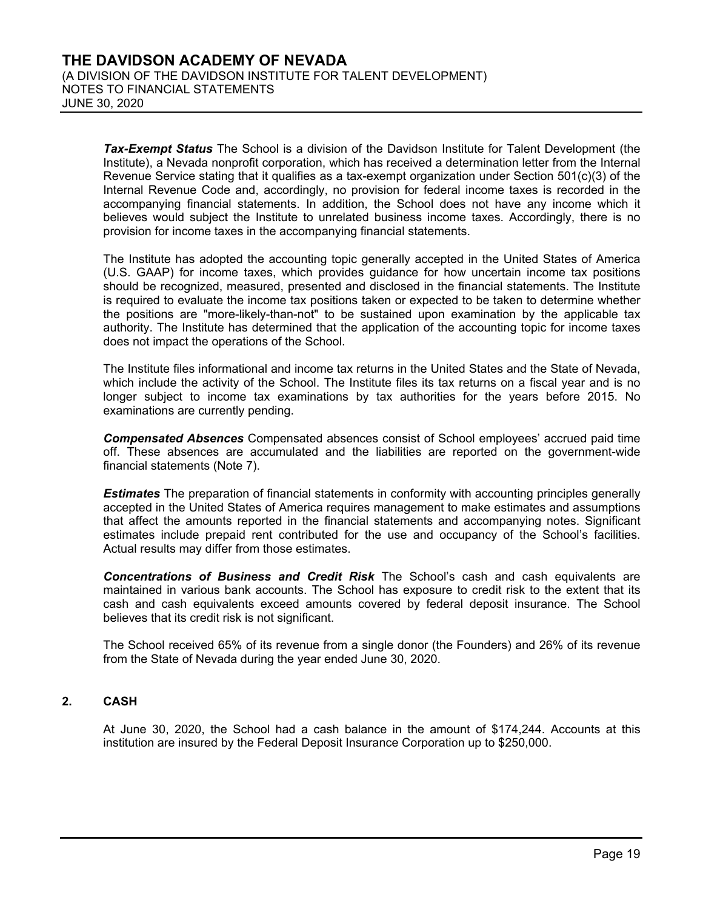#### **THE DAVIDSON ACADEMY OF NEVADA**  (A DIVISION OF THE DAVIDSON INSTITUTE FOR TALENT DEVELOPMENT) NOTES TO FINANCIAL STATEMENTS JUNE 30, 2020

*Tax-Exempt Status* The School is a division of the Davidson Institute for Talent Development (the Institute), a Nevada nonprofit corporation, which has received a determination letter from the Internal Revenue Service stating that it qualifies as a tax-exempt organization under Section 501(c)(3) of the Internal Revenue Code and, accordingly, no provision for federal income taxes is recorded in the accompanying financial statements. In addition, the School does not have any income which it believes would subject the Institute to unrelated business income taxes. Accordingly, there is no provision for income taxes in the accompanying financial statements.

The Institute has adopted the accounting topic generally accepted in the United States of America (U.S. GAAP) for income taxes, which provides guidance for how uncertain income tax positions should be recognized, measured, presented and disclosed in the financial statements. The Institute is required to evaluate the income tax positions taken or expected to be taken to determine whether the positions are "more-likely-than-not" to be sustained upon examination by the applicable tax authority. The Institute has determined that the application of the accounting topic for income taxes does not impact the operations of the School.

The Institute files informational and income tax returns in the United States and the State of Nevada, which include the activity of the School. The Institute files its tax returns on a fiscal year and is no longer subject to income tax examinations by tax authorities for the years before 2015. No examinations are currently pending.

*Compensated Absences* Compensated absences consist of School employees' accrued paid time off. These absences are accumulated and the liabilities are reported on the government-wide financial statements (Note 7).

*Estimates* The preparation of financial statements in conformity with accounting principles generally accepted in the United States of America requires management to make estimates and assumptions that affect the amounts reported in the financial statements and accompanying notes. Significant estimates include prepaid rent contributed for the use and occupancy of the School's facilities. Actual results may differ from those estimates.

*Concentrations of Business and Credit Risk* The School's cash and cash equivalents are maintained in various bank accounts. The School has exposure to credit risk to the extent that its cash and cash equivalents exceed amounts covered by federal deposit insurance. The School believes that its credit risk is not significant.

The School received 65% of its revenue from a single donor (the Founders) and 26% of its revenue from the State of Nevada during the year ended June 30, 2020.

#### **2. CASH**

At June 30, 2020, the School had a cash balance in the amount of \$174,244. Accounts at this institution are insured by the Federal Deposit Insurance Corporation up to \$250,000.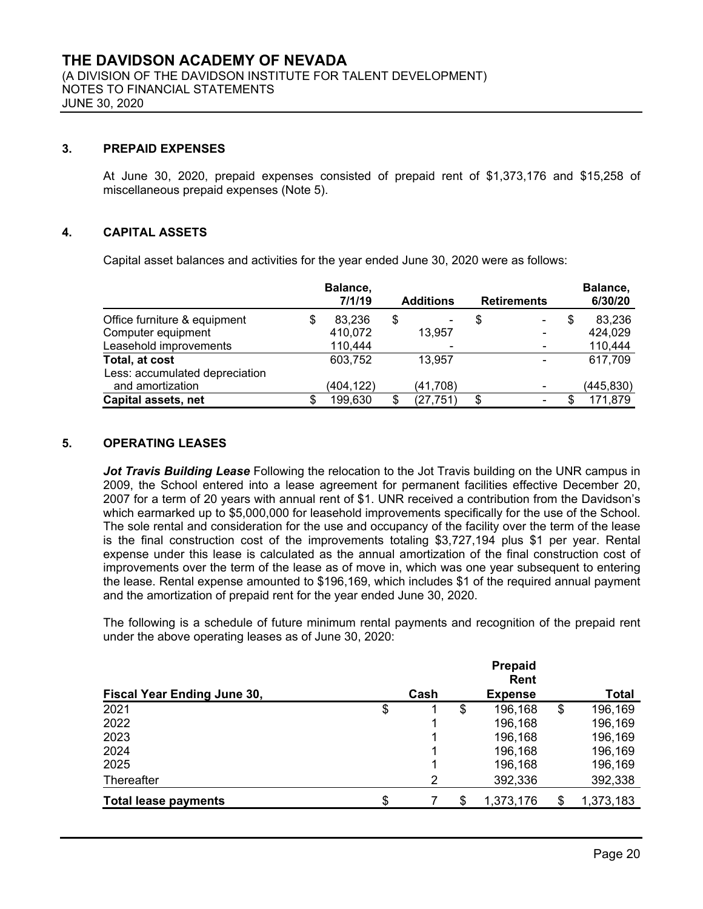(A DIVISION OF THE DAVIDSON INSTITUTE FOR TALENT DEVELOPMENT) NOTES TO FINANCIAL STATEMENTS JUNE 30, 2020

#### **3. PREPAID EXPENSES**

At June 30, 2020, prepaid expenses consisted of prepaid rent of \$1,373,176 and \$15,258 of miscellaneous prepaid expenses (Note 5).

#### **4. CAPITAL ASSETS**

Capital asset balances and activities for the year ended June 30, 2020 were as follows:

|                                |     | Balance,<br>7/1/19 | <b>Additions</b> | <b>Retirements</b>       | Balance,<br>6/30/20 |
|--------------------------------|-----|--------------------|------------------|--------------------------|---------------------|
| Office furniture & equipment   | S   | 83,236             | \$               | \$                       | 83,236              |
| Computer equipment             |     | 410,072            | 13.957           | -                        | 424,029             |
| Leasehold improvements         |     | 110,444            |                  | $\overline{\phantom{0}}$ | 110,444             |
| Total, at cost                 |     | 603,752            | 13.957           | ۰                        | 617,709             |
| Less: accumulated depreciation |     |                    |                  |                          |                     |
| and amortization               |     | (404,122)          | (41, 708)        | $\blacksquare$           | (445,830)           |
| Capital assets, net            | \$. | 199,630            | (27, 751)        | \$                       | 171,879             |

#### **5. OPERATING LEASES**

*Jot Travis Building Lease* Following the relocation to the Jot Travis building on the UNR campus in 2009, the School entered into a lease agreement for permanent facilities effective December 20, 2007 for a term of 20 years with annual rent of \$1. UNR received a contribution from the Davidson's which earmarked up to \$5,000,000 for leasehold improvements specifically for the use of the School. The sole rental and consideration for the use and occupancy of the facility over the term of the lease is the final construction cost of the improvements totaling \$3,727,194 plus \$1 per year. Rental expense under this lease is calculated as the annual amortization of the final construction cost of improvements over the term of the lease as of move in, which was one year subsequent to entering the lease. Rental expense amounted to \$196,169, which includes \$1 of the required annual payment and the amortization of prepaid rent for the year ended June 30, 2020.

The following is a schedule of future minimum rental payments and recognition of the prepaid rent under the above operating leases as of June 30, 2020:

|                                    |      |    | <b>Prepaid</b><br>Rent |               |
|------------------------------------|------|----|------------------------|---------------|
| <b>Fiscal Year Ending June 30,</b> | Cash |    | <b>Expense</b>         | Total         |
| 2021                               | \$   | \$ | 196,168                | \$<br>196,169 |
| 2022                               |      |    | 196,168                | 196,169       |
| 2023                               |      |    | 196,168                | 196,169       |
| 2024                               |      |    | 196,168                | 196,169       |
| 2025                               |      |    | 196,168                | 196,169       |
| Thereafter                         | 2    |    | 392,336                | 392,338       |
| <b>Total lease payments</b>        | \$   | S  | 1,373,176              | 1,373,183     |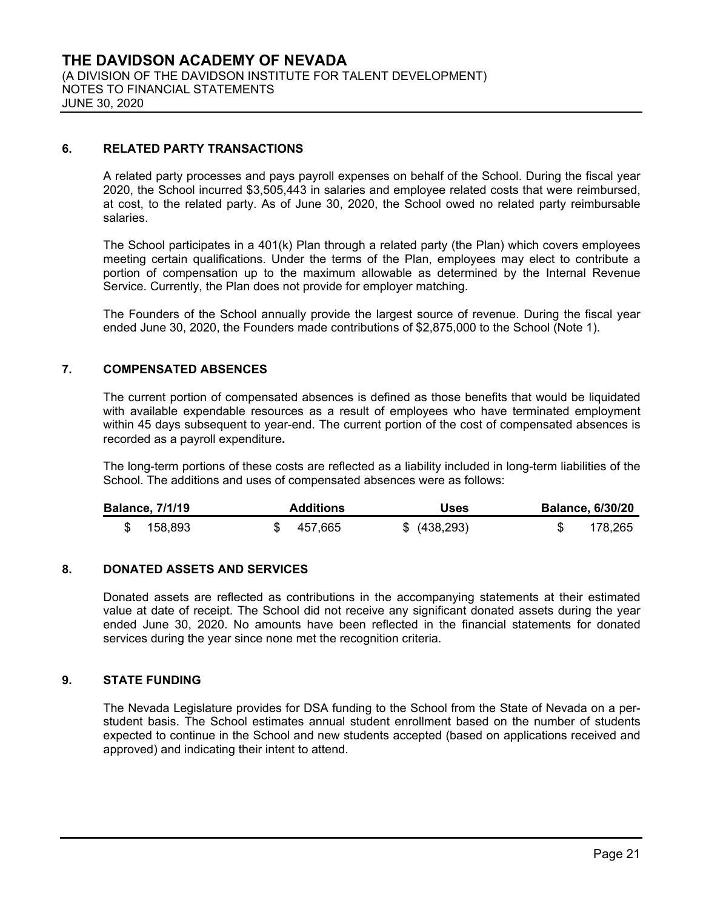#### **THE DAVIDSON ACADEMY OF NEVADA**  (A DIVISION OF THE DAVIDSON INSTITUTE FOR TALENT DEVELOPMENT) NOTES TO FINANCIAL STATEMENTS JUNE 30, 2020

#### **6. RELATED PARTY TRANSACTIONS**

A related party processes and pays payroll expenses on behalf of the School. During the fiscal year 2020, the School incurred \$3,505,443 in salaries and employee related costs that were reimbursed, at cost, to the related party. As of June 30, 2020, the School owed no related party reimbursable salaries.

The School participates in a 401(k) Plan through a related party (the Plan) which covers employees meeting certain qualifications. Under the terms of the Plan, employees may elect to contribute a portion of compensation up to the maximum allowable as determined by the Internal Revenue Service. Currently, the Plan does not provide for employer matching.

The Founders of the School annually provide the largest source of revenue. During the fiscal year ended June 30, 2020, the Founders made contributions of \$2,875,000 to the School (Note 1).

#### **7. COMPENSATED ABSENCES**

The current portion of compensated absences is defined as those benefits that would be liquidated with available expendable resources as a result of employees who have terminated employment within 45 days subsequent to year-end. The current portion of the cost of compensated absences is recorded as a payroll expenditure**.**

The long-term portions of these costs are reflected as a liability included in long-term liabilities of the School. The additions and uses of compensated absences were as follows:

| <b>Balance, 7/1/19</b> |            | <b>Additions</b> | <b>Uses</b>  | <b>Balance, 6/30/20</b> |
|------------------------|------------|------------------|--------------|-------------------------|
|                        | \$ 158,893 | \$457.665        | \$ (438,293) | 178.265                 |

#### **8. DONATED ASSETS AND SERVICES**

Donated assets are reflected as contributions in the accompanying statements at their estimated value at date of receipt. The School did not receive any significant donated assets during the year ended June 30, 2020. No amounts have been reflected in the financial statements for donated services during the year since none met the recognition criteria.

#### **9. STATE FUNDING**

The Nevada Legislature provides for DSA funding to the School from the State of Nevada on a perstudent basis. The School estimates annual student enrollment based on the number of students expected to continue in the School and new students accepted (based on applications received and approved) and indicating their intent to attend.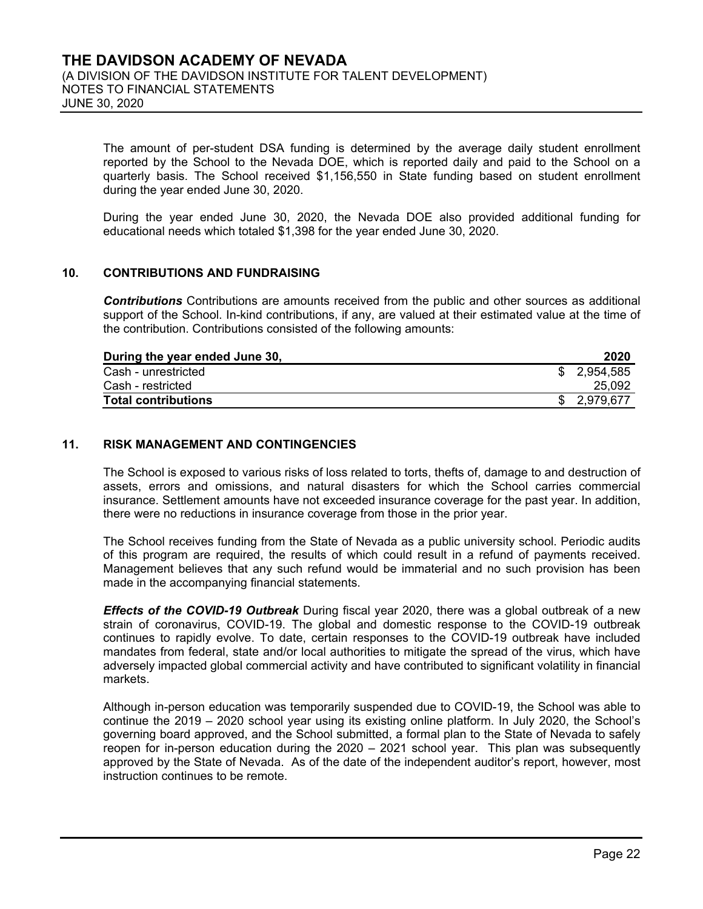### **THE DAVIDSON ACADEMY OF NEVADA**  (A DIVISION OF THE DAVIDSON INSTITUTE FOR TALENT DEVELOPMENT) NOTES TO FINANCIAL STATEMENTS

JUNE 30, 2020

The amount of per-student DSA funding is determined by the average daily student enrollment reported by the School to the Nevada DOE, which is reported daily and paid to the School on a quarterly basis. The School received \$1,156,550 in State funding based on student enrollment during the year ended June 30, 2020.

During the year ended June 30, 2020, the Nevada DOE also provided additional funding for educational needs which totaled \$1,398 for the year ended June 30, 2020.

#### **10. CONTRIBUTIONS AND FUNDRAISING**

*Contributions* Contributions are amounts received from the public and other sources as additional support of the School. In-kind contributions, if any, are valued at their estimated value at the time of the contribution. Contributions consisted of the following amounts:

| During the year ended June 30, | 2020      |
|--------------------------------|-----------|
| Cash - unrestricted            | 2,954,585 |
| Cash - restricted              | 25,092    |
| <b>Total contributions</b>     | 2,979,677 |

#### **11. RISK MANAGEMENT AND CONTINGENCIES**

The School is exposed to various risks of loss related to torts, thefts of, damage to and destruction of assets, errors and omissions, and natural disasters for which the School carries commercial insurance. Settlement amounts have not exceeded insurance coverage for the past year. In addition, there were no reductions in insurance coverage from those in the prior year.

The School receives funding from the State of Nevada as a public university school. Periodic audits of this program are required, the results of which could result in a refund of payments received. Management believes that any such refund would be immaterial and no such provision has been made in the accompanying financial statements.

*Effects of the COVID-19 Outbreak* During fiscal year 2020, there was a global outbreak of a new strain of coronavirus, COVID-19. The global and domestic response to the COVID-19 outbreak continues to rapidly evolve. To date, certain responses to the COVID-19 outbreak have included mandates from federal, state and/or local authorities to mitigate the spread of the virus, which have adversely impacted global commercial activity and have contributed to significant volatility in financial markets.

Although in-person education was temporarily suspended due to COVID-19, the School was able to continue the 2019 – 2020 school year using its existing online platform. In July 2020, the School's governing board approved, and the School submitted, a formal plan to the State of Nevada to safely reopen for in-person education during the 2020 – 2021 school year. This plan was subsequently approved by the State of Nevada. As of the date of the independent auditor's report, however, most instruction continues to be remote.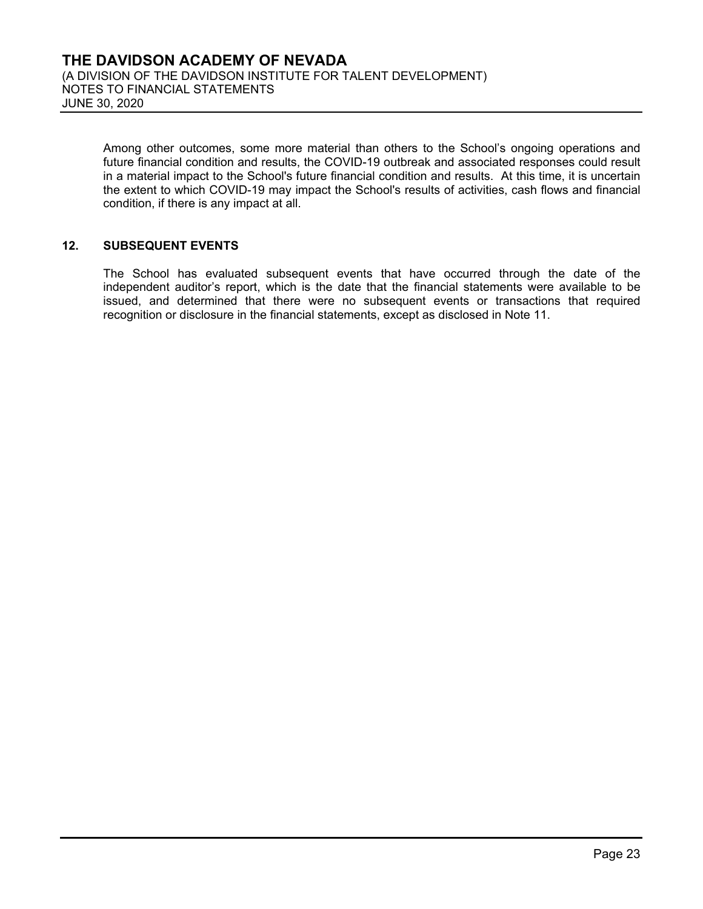#### **THE DAVIDSON ACADEMY OF NEVADA**  (A DIVISION OF THE DAVIDSON INSTITUTE FOR TALENT DEVELOPMENT) NOTES TO FINANCIAL STATEMENTS JUNE 30, 2020

Among other outcomes, some more material than others to the School's ongoing operations and future financial condition and results, the COVID-19 outbreak and associated responses could result in a material impact to the School's future financial condition and results. At this time, it is uncertain the extent to which COVID-19 may impact the School's results of activities, cash flows and financial condition, if there is any impact at all.

#### **12. SUBSEQUENT EVENTS**

The School has evaluated subsequent events that have occurred through the date of the independent auditor's report, which is the date that the financial statements were available to be issued, and determined that there were no subsequent events or transactions that required recognition or disclosure in the financial statements, except as disclosed in Note 11.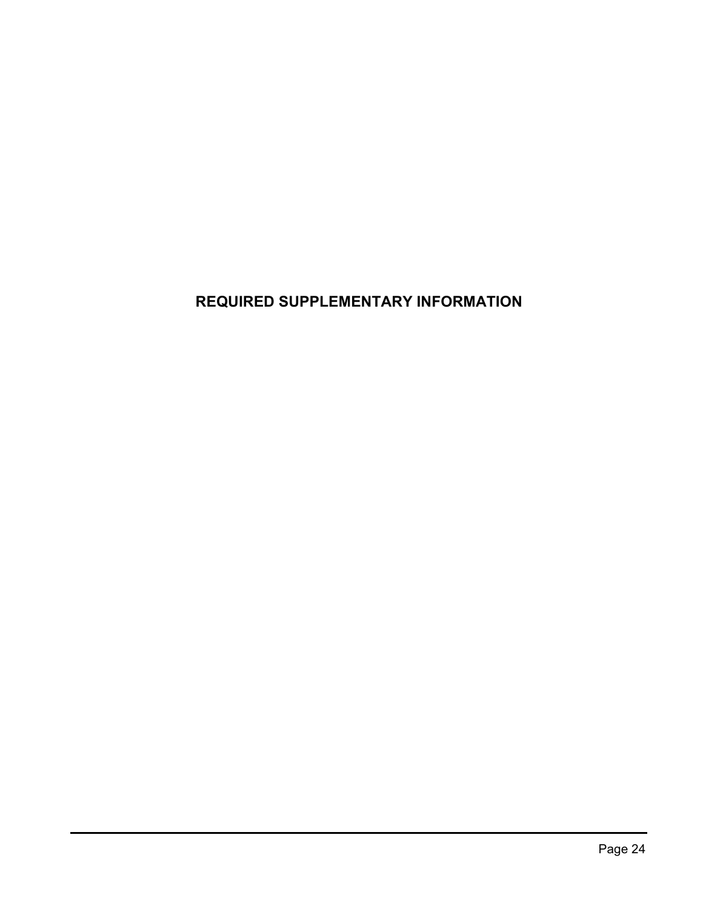# **REQUIRED SUPPLEMENTARY INFORMATION**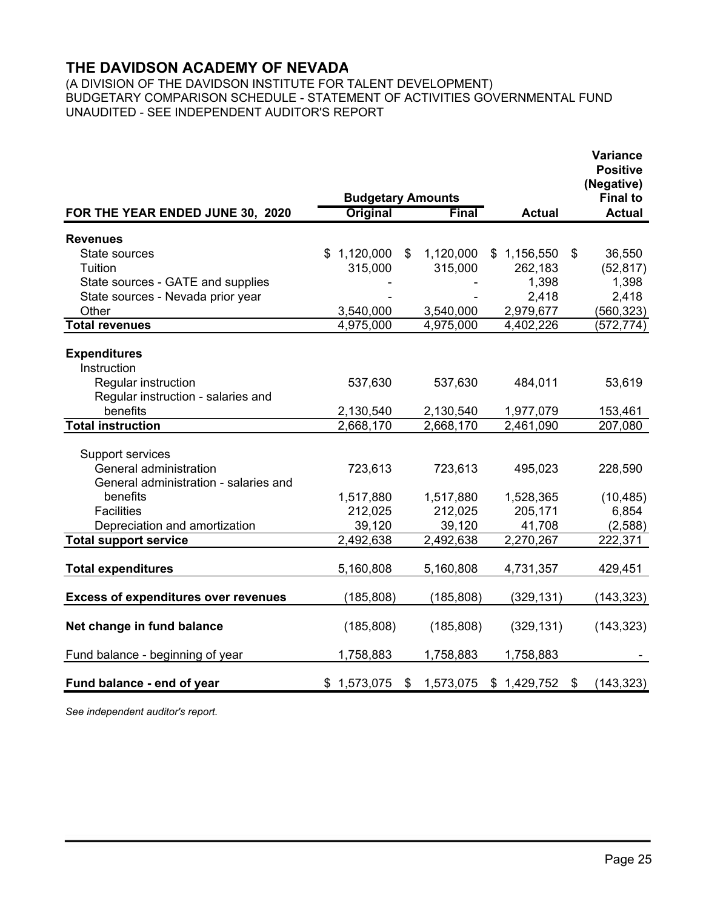### (A DIVISION OF THE DAVIDSON INSTITUTE FOR TALENT DEVELOPMENT) BUDGETARY COMPARISON SCHEDULE - STATEMENT OF ACTIVITIES GOVERNMENTAL FUND UNAUDITED - SEE INDEPENDENT AUDITOR'S REPORT

|                                             |                                                             |    |            |               | <b>Variance</b><br><b>Positive</b> |  |
|---------------------------------------------|-------------------------------------------------------------|----|------------|---------------|------------------------------------|--|
|                                             |                                                             |    |            |               | (Negative)<br><b>Final to</b>      |  |
| FOR THE YEAR ENDED JUNE 30, 2020            | <b>Budgetary Amounts</b><br><b>Original</b><br><b>Final</b> |    |            | <b>Actual</b> | <b>Actual</b>                      |  |
|                                             |                                                             |    |            |               |                                    |  |
| <b>Revenues</b>                             |                                                             |    |            |               |                                    |  |
| State sources                               | \$<br>1,120,000                                             | \$ | 1,120,000  | \$1,156,550   | 36,550<br>\$                       |  |
| Tuition                                     | 315,000                                                     |    | 315,000    | 262,183       | (52, 817)                          |  |
| State sources - GATE and supplies           |                                                             |    |            | 1,398         | 1,398                              |  |
| State sources - Nevada prior year           |                                                             |    |            | 2,418         | 2,418                              |  |
| Other                                       | 3,540,000                                                   |    | 3,540,000  | 2,979,677     | (560, 323)                         |  |
| <b>Total revenues</b>                       | 4,975,000                                                   |    | 4,975,000  | 4,402,226     | (572, 774)                         |  |
|                                             |                                                             |    |            |               |                                    |  |
| <b>Expenditures</b>                         |                                                             |    |            |               |                                    |  |
| Instruction                                 |                                                             |    |            |               |                                    |  |
| Regular instruction                         | 537,630                                                     |    | 537,630    | 484,011       | 53,619                             |  |
| Regular instruction - salaries and          |                                                             |    |            |               |                                    |  |
| benefits                                    | 2,130,540                                                   |    | 2,130,540  | 1,977,079     | 153,461                            |  |
| <b>Total instruction</b>                    | 2,668,170                                                   |    | 2,668,170  | 2,461,090     | 207,080                            |  |
|                                             |                                                             |    |            |               |                                    |  |
| Support services                            |                                                             |    |            |               |                                    |  |
| General administration                      | 723,613                                                     |    | 723,613    | 495,023       | 228,590                            |  |
| General administration - salaries and       |                                                             |    |            |               |                                    |  |
| benefits                                    | 1,517,880                                                   |    | 1,517,880  | 1,528,365     | (10, 485)                          |  |
| <b>Facilities</b>                           | 212,025                                                     |    | 212,025    | 205,171       | 6,854                              |  |
| Depreciation and amortization               | 39,120                                                      |    | 39,120     | 41,708        | (2,588)                            |  |
| <b>Total support service</b>                | 2,492,638                                                   |    | 2,492,638  | 2,270,267     | 222,371                            |  |
| <b>Total expenditures</b>                   | 5,160,808                                                   |    | 5,160,808  | 4,731,357     | 429,451                            |  |
|                                             |                                                             |    |            |               |                                    |  |
| <b>Excess of expenditures over revenues</b> | (185, 808)                                                  |    | (185, 808) | (329, 131)    | (143, 323)                         |  |
| Net change in fund balance                  | (185, 808)                                                  |    | (185, 808) | (329, 131)    | (143, 323)                         |  |
| Fund balance - beginning of year            | 1,758,883                                                   |    | 1,758,883  | 1,758,883     |                                    |  |
| Fund balance - end of year                  | \$1,573,075                                                 | \$ | 1,573,075  | \$1,429,752   | (143, 323)<br>\$                   |  |
|                                             |                                                             |    |            |               |                                    |  |

*See independent auditor's report.*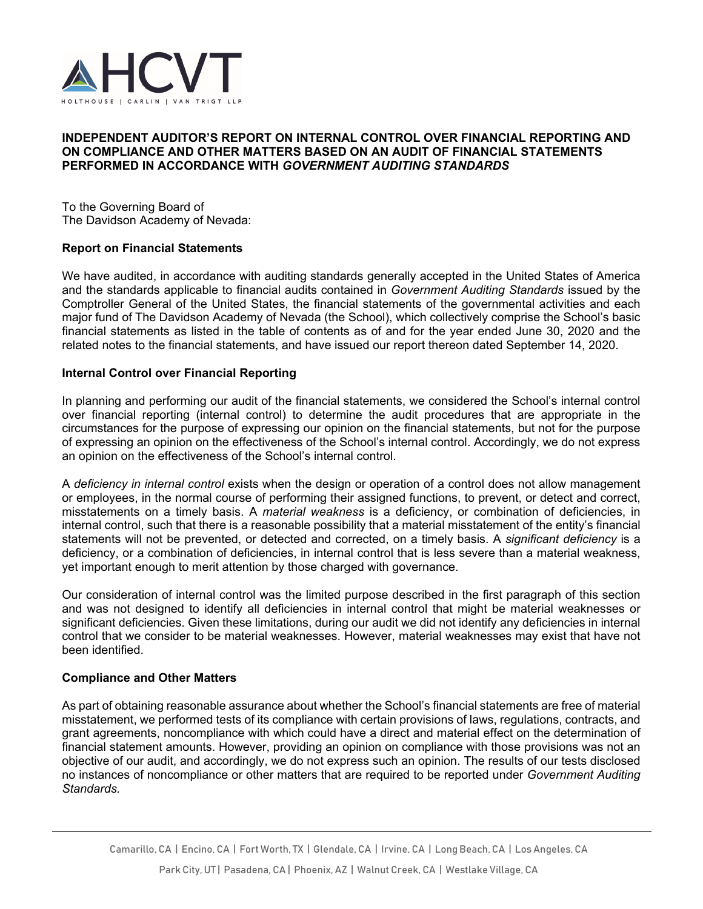

#### **INDEPENDENT AUDITOR'S REPORT ON INTERNAL CONTROL OVER FINANCIAL REPORTING AND ON COMPLIANCE AND OTHER MATTERS BASED ON AN AUDIT OF FINANCIAL STATEMENTS PERFORMED IN ACCORDANCE WITH** *GOVERNMENT AUDITING STANDARDS*

To the Governing Board of The Davidson Academy of Nevada:

#### **Report on Financial Statements**

We have audited, in accordance with auditing standards generally accepted in the United States of America and the standards applicable to financial audits contained in *Government Auditing Standards* issued by the Comptroller General of the United States, the financial statements of the governmental activities and each major fund of The Davidson Academy of Nevada (the School), which collectively comprise the School's basic financial statements as listed in the table of contents as of and for the year ended June 30, 2020 and the related notes to the financial statements, and have issued our report thereon dated September 14, 2020.

#### **Internal Control over Financial Reporting**

In planning and performing our audit of the financial statements, we considered the School's internal control over financial reporting (internal control) to determine the audit procedures that are appropriate in the circumstances for the purpose of expressing our opinion on the financial statements, but not for the purpose of expressing an opinion on the effectiveness of the School's internal control. Accordingly, we do not express an opinion on the effectiveness of the School's internal control.

A *deficiency in internal control* exists when the design or operation of a control does not allow management or employees, in the normal course of performing their assigned functions, to prevent, or detect and correct, misstatements on a timely basis. A *material weakness* is a deficiency, or combination of deficiencies, in internal control, such that there is a reasonable possibility that a material misstatement of the entity's financial statements will not be prevented, or detected and corrected, on a timely basis. A *significant deficiency* is a deficiency, or a combination of deficiencies, in internal control that is less severe than a material weakness, yet important enough to merit attention by those charged with governance.

Our consideration of internal control was the limited purpose described in the first paragraph of this section and was not designed to identify all deficiencies in internal control that might be material weaknesses or significant deficiencies. Given these limitations, during our audit we did not identify any deficiencies in internal control that we consider to be material weaknesses. However, material weaknesses may exist that have not been identified.

#### **Compliance and Other Matters**

As part of obtaining reasonable assurance about whether the School's financial statements are free of material misstatement, we performed tests of its compliance with certain provisions of laws, regulations, contracts, and grant agreements, noncompliance with which could have a direct and material effect on the determination of financial statement amounts. However, providing an opinion on compliance with those provisions was not an objective of our audit, and accordingly, we do not express such an opinion. The results of our tests disclosed no instances of noncompliance or other matters that are required to be reported under *Government Auditing Standards.*